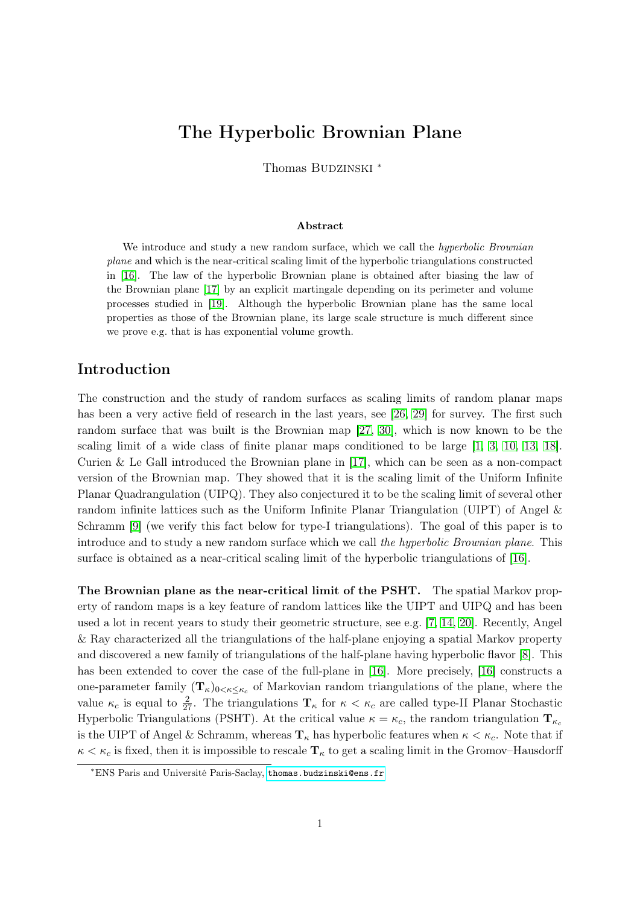# The Hyperbolic Brownian Plane

Thomas BUDZINSKI<sup>\*</sup>

#### Abstract

We introduce and study a new random surface, which we call the *hyperbolic Brownian* plane and which is the near-critical scaling limit of the hyperbolic triangulations constructed in [\[16\]](#page-32-0). The law of the hyperbolic Brownian plane is obtained after biasing the law of the Brownian plane [\[17\]](#page-33-0) by an explicit martingale depending on its perimeter and volume processes studied in [\[19\]](#page-33-1). Although the hyperbolic Brownian plane has the same local properties as those of the Brownian plane, its large scale structure is much different since we prove e.g. that is has exponential volume growth.

# Introduction

The construction and the study of random surfaces as scaling limits of random planar maps has been a very active field of research in the last years, see [\[26,](#page-33-2) [29\]](#page-33-3) for survey. The first such random surface that was built is the Brownian map [\[27,](#page-33-4) [30\]](#page-33-5), which is now known to be the scaling limit of a wide class of finite planar maps conditioned to be large [\[1,](#page-32-1) [3,](#page-32-2) [10,](#page-32-3) [13,](#page-32-4) [18\]](#page-33-6). Curien & Le Gall introduced the Brownian plane in [\[17\]](#page-33-0), which can be seen as a non-compact version of the Brownian map. They showed that it is the scaling limit of the Uniform Infinite Planar Quadrangulation (UIPQ). They also conjectured it to be the scaling limit of several other random infinite lattices such as the Uniform Infinite Planar Triangulation (UIPT) of Angel & Schramm [\[9\]](#page-32-5) (we verify this fact below for type-I triangulations). The goal of this paper is to introduce and to study a new random surface which we call the hyperbolic Brownian plane. This surface is obtained as a near-critical scaling limit of the hyperbolic triangulations of [\[16\]](#page-32-0).

The Brownian plane as the near-critical limit of the PSHT. The spatial Markov property of random maps is a key feature of random lattices like the UIPT and UIPQ and has been used a lot in recent years to study their geometric structure, see e.g. [\[7,](#page-32-6) [14,](#page-32-7) [20\]](#page-33-7). Recently, Angel & Ray characterized all the triangulations of the half-plane enjoying a spatial Markov property and discovered a new family of triangulations of the half-plane having hyperbolic flavor [\[8\]](#page-32-8). This has been extended to cover the case of the full-plane in [\[16\]](#page-32-0). More precisely, [16] constructs a one-parameter family  $(\mathbf{T}_{\kappa})_{0<\kappa\leq\kappa_c}$  of Markovian random triangulations of the plane, where the value  $\kappa_c$  is equal to  $\frac{2}{27}$ . The triangulations  $\mathbf{T}_{\kappa}$  for  $\kappa < \kappa_c$  are called type-II Planar Stochastic Hyperbolic Triangulations (PSHT). At the critical value  $\kappa = \kappa_c$ , the random triangulation  $\mathbf{T}_{\kappa_c}$ is the UIPT of Angel & Schramm, whereas  $\mathbf{T}_{\kappa}$  has hyperbolic features when  $\kappa < \kappa_c$ . Note that if  $\kappa < \kappa_c$  is fixed, then it is impossible to rescale  $\mathbf{T}_{\kappa}$  to get a scaling limit in the Gromov–Hausdorff

<sup>∗</sup>ENS Paris and Université Paris-Saclay, <thomas.budzinski@ens.fr>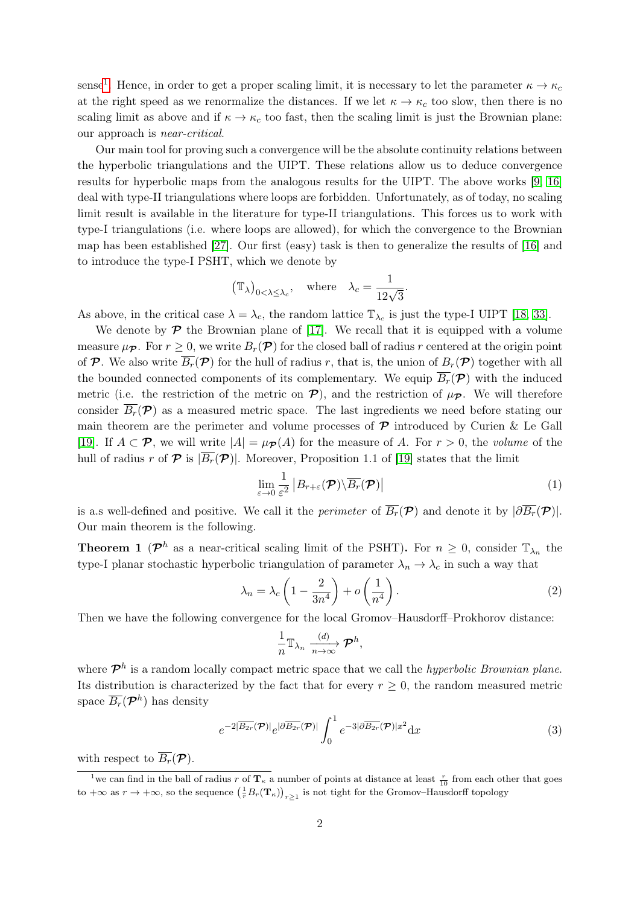sense<sup>[1](#page-1-0)</sup>. Hence, in order to get a proper scaling limit, it is necessary to let the parameter  $\kappa \to \kappa_c$ at the right speed as we renormalize the distances. If we let  $\kappa \to \kappa_c$  too slow, then there is no scaling limit as above and if  $\kappa \to \kappa_c$  too fast, then the scaling limit is just the Brownian plane: our approach is near-critical.

Our main tool for proving such a convergence will be the absolute continuity relations between the hyperbolic triangulations and the UIPT. These relations allow us to deduce convergence results for hyperbolic maps from the analogous results for the UIPT. The above works [\[9,](#page-32-5) [16\]](#page-32-0) deal with type-II triangulations where loops are forbidden. Unfortunately, as of today, no scaling limit result is available in the literature for type-II triangulations. This forces us to work with type-I triangulations (i.e. where loops are allowed), for which the convergence to the Brownian map has been established [\[27\]](#page-33-4). Our first (easy) task is then to generalize the results of [\[16\]](#page-32-0) and to introduce the type-I PSHT, which we denote by

$$
(\mathbb{T}_{\lambda})_{0<\lambda\leq\lambda_{c}}, \text{ where } \lambda_{c}=\frac{1}{12\sqrt{3}}.
$$

As above, in the critical case  $\lambda = \lambda_c$ , the random lattice  $\mathbb{T}_{\lambda_c}$  is just the type-I UIPT [\[18,](#page-33-6) [33\]](#page-33-8).

We denote by  $\mathcal P$  the Brownian plane of [\[17\]](#page-33-0). We recall that it is equipped with a volume measure  $\mu_{\mathcal{P}}$ . For  $r \geq 0$ , we write  $B_r(\mathcal{P})$  for the closed ball of radius r centered at the origin point of P. We also write  $\overline{B_r}(\mathcal{P})$  for the hull of radius r, that is, the union of  $B_r(\mathcal{P})$  together with all the bounded connected components of its complementary. We equip  $\overline{B_r}(\mathcal{P})$  with the induced metric (i.e. the restriction of the metric on  $\mathcal{P}$ ), and the restriction of  $\mu_{\mathcal{P}}$ . We will therefore consider  $\overline{B_r(\mathcal{P})}$  as a measured metric space. The last ingredients we need before stating our main theorem are the perimeter and volume processes of  $\mathcal P$  introduced by Curien & Le Gall [\[19\]](#page-33-1). If  $A \subset \mathcal{P}$ , we will write  $|A| = \mu_{\mathcal{P}}(A)$  for the measure of A. For  $r > 0$ , the volume of the hull of radius r of  $\mathcal P$  is  $|\overline{B_r}(\mathcal P)|$ . Moreover, Proposition 1.1 of [\[19\]](#page-33-1) states that the limit

<span id="page-1-4"></span>
$$
\lim_{\varepsilon \to 0} \frac{1}{\varepsilon^2} \left| B_{r+\varepsilon}(\mathcal{P}) \backslash \overline{B_r}(\mathcal{P}) \right| \tag{1}
$$

is a.s well-defined and positive. We call it the *perimeter* of  $\overline{B_r}(\mathcal{P})$  and denote it by  $|\partial \overline{B_r}(\mathcal{P})|$ . Our main theorem is the following.

<span id="page-1-3"></span>**Theorem 1** ( $\mathcal{P}^h$  as a near-critical scaling limit of the PSHT). For  $n \geq 0$ , consider  $\mathbb{T}_{\lambda_n}$  the type-I planar stochastic hyperbolic triangulation of parameter  $\lambda_n \to \lambda_c$  in such a way that

<span id="page-1-1"></span>
$$
\lambda_n = \lambda_c \left( 1 - \frac{2}{3n^4} \right) + o\left(\frac{1}{n^4}\right). \tag{2}
$$

Then we have the following convergence for the local Gromov–Hausdorff–Prokhorov distance:

$$
\frac{1}{n}\mathbb{T}_{\lambda_n} \xrightarrow[n \to \infty]{(d)} \mathcal{P}^h,
$$

where  $\mathcal{P}^h$  is a random locally compact metric space that we call the *hyperbolic Brownian plane*. Its distribution is characterized by the fact that for every  $r \geq 0$ , the random measured metric space  $\overline{B_r}(\mathcal{P}^h)$  has density

<span id="page-1-2"></span>
$$
e^{-2|\overline{B_{2r}}(\mathcal{P})|}e^{|\partial\overline{B_{2r}}(\mathcal{P})|}\int_0^1 e^{-3|\partial\overline{B_{2r}}(\mathcal{P})|x^2}\mathrm{d}x\tag{3}
$$

with respect to  $\overline{B_r}(\mathcal{P})$ .

<span id="page-1-0"></span><sup>&</sup>lt;sup>1</sup>we can find in the ball of radius r of  $\mathbf{T}_{\kappa}$  a number of points at distance at least  $\frac{r}{10}$  from each other that goes to  $+\infty$  as  $r \to +\infty$ , so the sequence  $\left(\frac{1}{r}B_r(\mathbf{T}_{\kappa})\right)_{r\geq 1}$  is not tight for the Gromov–Hausdorff topology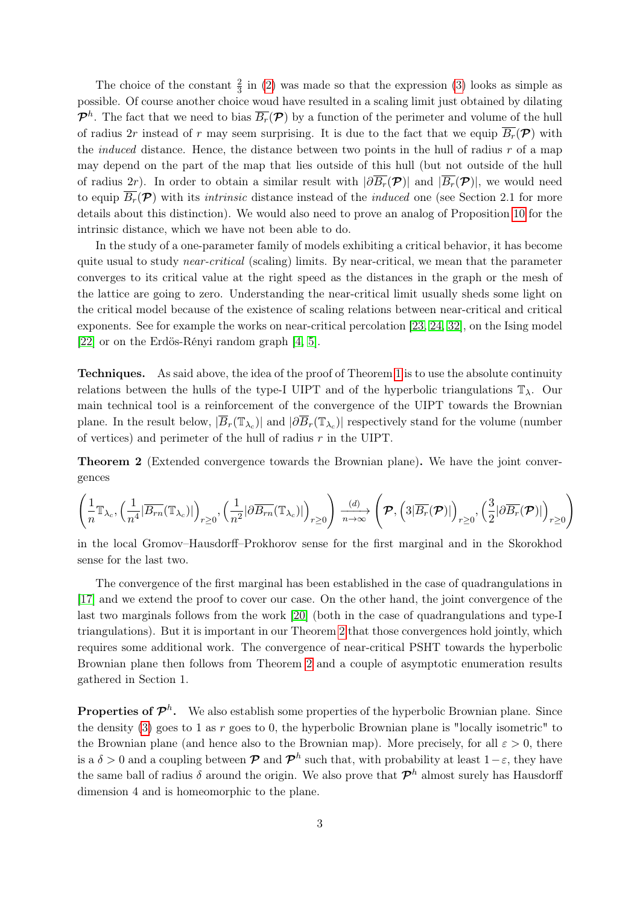The choice of the constant  $\frac{2}{3}$  in [\(2\)](#page-1-1) was made so that the expression [\(3\)](#page-1-2) looks as simple as possible. Of course another choice woud have resulted in a scaling limit just obtained by dilating  $\mathcal{P}^h$ . The fact that we need to bias  $\overline{B_r}(\mathcal{P})$  by a function of the perimeter and volume of the hull of radius 2r instead of r may seem surprising. It is due to the fact that we equip  $\overline{B_r}(\mathcal{P})$  with the *induced* distance. Hence, the distance between two points in the hull of radius  $r$  of a map may depend on the part of the map that lies outside of this hull (but not outside of the hull of radius 2r). In order to obtain a similar result with  $|\partial \overline{B_r}(\mathcal{P})|$  and  $|\overline{B_r}(\mathcal{P})|$ , we would need to equip  $\overline{B_r(\mathcal{P})}$  with its *intrinsic* distance instead of the *induced* one (see Section 2.1 for more details about this distinction). We would also need to prove an analog of Proposition [10](#page-9-0) for the intrinsic distance, which we have not been able to do.

In the study of a one-parameter family of models exhibiting a critical behavior, it has become quite usual to study *near-critical* (scaling) limits. By near-critical, we mean that the parameter converges to its critical value at the right speed as the distances in the graph or the mesh of the lattice are going to zero. Understanding the near-critical limit usually sheds some light on the critical model because of the existence of scaling relations between near-critical and critical exponents. See for example the works on near-critical percolation [\[23,](#page-33-9) [24,](#page-33-10) [32\]](#page-33-11), on the Ising model [\[22\]](#page-33-12) or on the Erdös-Rényi random graph [\[4,](#page-32-9) [5\]](#page-32-10).

Techniques. As said above, the idea of the proof of Theorem [1](#page-1-3) is to use the absolute continuity relations between the hulls of the type-I UIPT and of the hyperbolic triangulations  $\mathbb{T}_{\lambda}$ . Our main technical tool is a reinforcement of the convergence of the UIPT towards the Brownian plane. In the result below,  $|\overline{B}_r(\mathbb{T}_{\lambda_c})|$  and  $|\partial \overline{B}_r(\mathbb{T}_{\lambda_c})|$  respectively stand for the volume (number of vertices) and perimeter of the hull of radius  $r$  in the UIPT.

<span id="page-2-0"></span>Theorem 2 (Extended convergence towards the Brownian plane). We have the joint convergences

$$
\left(\frac{1}{n}\mathbb{T}_{\lambda_c},\left(\frac{1}{n^4}|\overline{B_{rn}}(\mathbb{T}_{\lambda_c})|\right)_{r\geq 0},\left(\frac{1}{n^2}|\partial \overline{B_{rn}}(\mathbb{T}_{\lambda_c})|\right)_{r\geq 0}\right)\xrightarrow[n\to\infty]{(d)}\left(\mathcal{P},\left(3|\overline{B_{r}}(\mathcal{P})|\right)_{r\geq 0},\left(\frac{3}{2}|\partial \overline{B_{r}}(\mathcal{P})|\right)_{r\geq 0}\right)
$$

in the local Gromov–Hausdorff–Prokhorov sense for the first marginal and in the Skorokhod sense for the last two.

The convergence of the first marginal has been established in the case of quadrangulations in [\[17\]](#page-33-0) and we extend the proof to cover our case. On the other hand, the joint convergence of the last two marginals follows from the work [\[20\]](#page-33-7) (both in the case of quadrangulations and type-I triangulations). But it is important in our Theorem [2](#page-2-0) that those convergences hold jointly, which requires some additional work. The convergence of near-critical PSHT towards the hyperbolic Brownian plane then follows from Theorem [2](#page-2-0) and a couple of asymptotic enumeration results gathered in Section 1.

**Properties of**  $\mathcal{P}^h$ **.** We also establish some properties of the hyperbolic Brownian plane. Since the density [\(3\)](#page-1-2) goes to 1 as  $r$  goes to 0, the hyperbolic Brownian plane is "locally isometric" to the Brownian plane (and hence also to the Brownian map). More precisely, for all  $\varepsilon > 0$ , there is a  $\delta > 0$  and a coupling between  $\mathcal P$  and  $\mathcal P^h$  such that, with probability at least  $1-\varepsilon$ , they have the same ball of radius  $\delta$  around the origin. We also prove that  $\mathcal{P}^h$  almost surely has Hausdorff dimension 4 and is homeomorphic to the plane.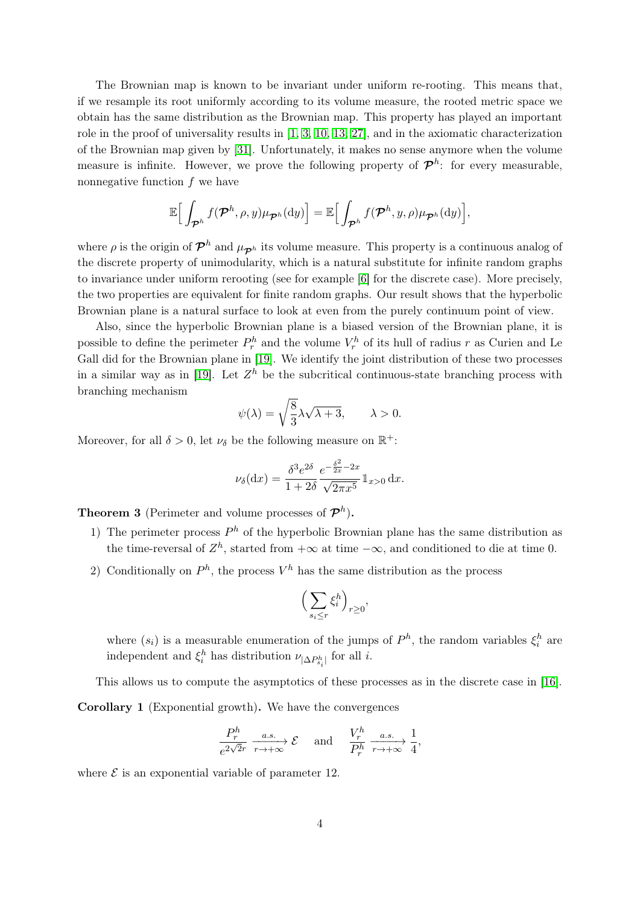The Brownian map is known to be invariant under uniform re-rooting. This means that, if we resample its root uniformly according to its volume measure, the rooted metric space we obtain has the same distribution as the Brownian map. This property has played an important role in the proof of universality results in [\[1,](#page-32-1) [3,](#page-32-2) [10,](#page-32-3) [13,](#page-32-4) [27\]](#page-33-4), and in the axiomatic characterization of the Brownian map given by [\[31\]](#page-33-13). Unfortunately, it makes no sense anymore when the volume measure is infinite. However, we prove the following property of  $\mathcal{P}^h$ : for every measurable, nonnegative function  $f$  we have

$$
\mathbb{E}\Big[\int_{\mathcal{P}^h}f(\mathcal{P}^h,\rho,y)\mu_{\mathcal{P}^h}(\mathrm{d}y)\Big]=\mathbb{E}\Big[\int_{\mathcal{P}^h}f(\mathcal{P}^h,y,\rho)\mu_{\mathcal{P}^h}(\mathrm{d}y)\Big],
$$

where  $\rho$  is the origin of  $\mathcal{P}^h$  and  $\mu_{\mathcal{P}^h}$  its volume measure. This property is a continuous analog of the discrete property of unimodularity, which is a natural substitute for infinite random graphs to invariance under uniform rerooting (see for example [\[6\]](#page-32-11) for the discrete case). More precisely, the two properties are equivalent for finite random graphs. Our result shows that the hyperbolic Brownian plane is a natural surface to look at even from the purely continuum point of view.

Also, since the hyperbolic Brownian plane is a biased version of the Brownian plane, it is possible to define the perimeter  $P_r^h$  and the volume  $V_r^h$  of its hull of radius r as Curien and Le Gall did for the Brownian plane in [\[19\]](#page-33-1). We identify the joint distribution of these two processes in a similar way as in [\[19\]](#page-33-1). Let  $Z<sup>h</sup>$  be the subcritical continuous-state branching process with branching mechanism

$$
\psi(\lambda) = \sqrt{\frac{8}{3}}\lambda\sqrt{\lambda + 3}, \qquad \lambda > 0.
$$

Moreover, for all  $\delta > 0$ , let  $\nu_{\delta}$  be the following measure on  $\mathbb{R}^+$ :

$$
\nu_{\delta}(\mathrm{d}x) = \frac{\delta^3 e^{2\delta}}{1 + 2\delta} \frac{e^{-\frac{\delta^2}{2x} - 2x}}{\sqrt{2\pi x^5}} 1\!\!1_{x > 0} \,\mathrm{d}x.
$$

<span id="page-3-0"></span>**Theorem 3** (Perimeter and volume processes of  $\mathcal{P}^h$ ).

- 1) The perimeter process  $P<sup>h</sup>$  of the hyperbolic Brownian plane has the same distribution as the time-reversal of  $Z<sup>h</sup>$ , started from  $+\infty$  at time  $-\infty$ , and conditioned to die at time 0.
- 2) Conditionally on  $P<sup>h</sup>$ , the process  $V<sup>h</sup>$  has the same distribution as the process

$$
\Big(\sum_{s_i\leq r}\xi_i^h\Big)_{r\geq 0},
$$

where  $(s_i)$  is a measurable enumeration of the jumps of  $P^h$ , the random variables  $\xi_i^h$  are independent and  $\xi_i^h$  has distribution  $\nu_{|\Delta P_{s_i}^h|}$  for all *i*.

<span id="page-3-1"></span>This allows us to compute the asymptotics of these processes as in the discrete case in [\[16\]](#page-32-0). Corollary 1 (Exponential growth). We have the convergences

$$
\frac{P_r^h}{e^{2\sqrt{2}r}} \xrightarrow[r \to +\infty]{a.s.} \mathcal{E} \quad \text{and} \quad \frac{V_r^h}{P_r^h} \xrightarrow[r \to +\infty]{a.s.} \frac{1}{4},
$$

where  $\mathcal E$  is an exponential variable of parameter 12.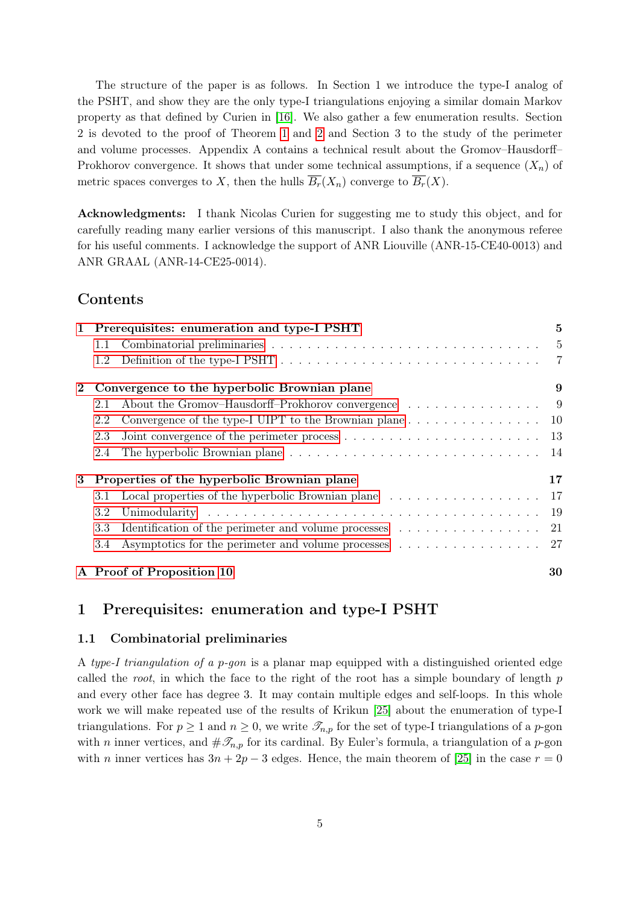The structure of the paper is as follows. In Section 1 we introduce the type-I analog of the PSHT, and show they are the only type-I triangulations enjoying a similar domain Markov property as that defined by Curien in [\[16\]](#page-32-0). We also gather a few enumeration results. Section 2 is devoted to the proof of Theorem [1](#page-1-3) and [2](#page-2-0) and Section 3 to the study of the perimeter and volume processes. Appendix A contains a technical result about the Gromov–Hausdorff– Prokhorov convergence. It shows that under some technical assumptions, if a sequence  $(X_n)$  of metric spaces converges to X, then the hulls  $\overline{B_r}(X_n)$  converge to  $\overline{B_r}(X)$ .

Acknowledgments: I thank Nicolas Curien for suggesting me to study this object, and for carefully reading many earlier versions of this manuscript. I also thank the anonymous referee for his useful comments. I acknowledge the support of ANR Liouville (ANR-15-CE40-0013) and ANR GRAAL (ANR-14-CE25-0014).

# Contents

|             | 1 Prerequisites: enumeration and type-I PSHT                                                            | $\overline{5}$ |
|-------------|---------------------------------------------------------------------------------------------------------|----------------|
|             | 1.1                                                                                                     |                |
|             | 1.2                                                                                                     |                |
| $2^{\circ}$ | Convergence to the hyperbolic Brownian plane                                                            | 9              |
|             | About the Gromov-Hausdorff-Prokhorov convergence 9<br>2.1                                               |                |
|             | Convergence of the type-I UIPT to the Brownian plane $\dots \dots \dots \dots \dots \dots \dots$<br>2.2 |                |
|             | 2.3                                                                                                     |                |
|             | 2.4                                                                                                     |                |
| 3           | Properties of the hyperbolic Brownian plane                                                             | 17             |
|             | Local properties of the hyperbolic Brownian plane 17<br>3.1                                             |                |
|             | 3.2                                                                                                     |                |
|             | 3.3                                                                                                     |                |
|             | 3.4                                                                                                     |                |
|             | A Proof of Proposition 10                                                                               | 30             |

# <span id="page-4-0"></span>1 Prerequisites: enumeration and type-I PSHT

### <span id="page-4-1"></span>1.1 Combinatorial preliminaries

A type-I triangulation of a p-gon is a planar map equipped with a distinguished oriented edge called the root, in which the face to the right of the root has a simple boundary of length  $p$ and every other face has degree 3. It may contain multiple edges and self-loops. In this whole work we will make repeated use of the results of Krikun [\[25\]](#page-33-14) about the enumeration of type-I triangulations. For  $p \ge 1$  and  $n \ge 0$ , we write  $\mathcal{T}_{n,p}$  for the set of type-I triangulations of a p-gon with *n* inner vertices, and  $\#\mathscr{T}_{n,p}$  for its cardinal. By Euler's formula, a triangulation of a *p*-gon with n inner vertices has  $3n + 2p - 3$  edges. Hence, the main theorem of [\[25\]](#page-33-14) in the case  $r = 0$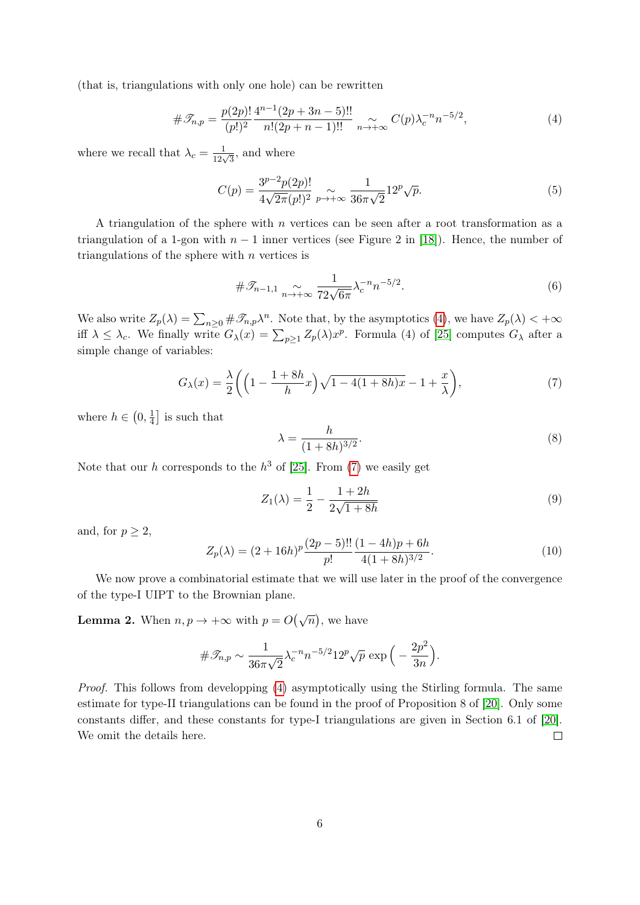(that is, triangulations with only one hole) can be rewritten

<span id="page-5-0"></span>
$$
\#\mathcal{T}_{n,p} = \frac{p(2p)!}{(p!)^2} \frac{4^{n-1}(2p+3n-5)!!}{n!(2p+n-1)!!} \underset{n \to +\infty}{\sim} C(p)\lambda_c^{-n}n^{-5/2},\tag{4}
$$

where we recall that  $\lambda_c = \frac{1}{12\sqrt{3}}$ , and where

$$
C(p) = \frac{3^{p-2}p(2p)!}{4\sqrt{2\pi}(p!)^2} \underset{p \to +\infty}{\sim} \frac{1}{36\pi\sqrt{2}} 12^p \sqrt{p}.
$$
 (5)

A triangulation of the sphere with  $n$  vertices can be seen after a root transformation as a triangulation of a 1-gon with  $n-1$  inner vertices (see Figure 2 in [\[18\]](#page-33-6)). Hence, the number of triangulations of the sphere with  $n$  vertices is

$$
\#\mathcal{I}_{n-1,1} \underset{n \to +\infty}{\sim} \frac{1}{72\sqrt{6\pi}} \lambda_c^{-n} n^{-5/2}.
$$
 (6)

We also write  $Z_p(\lambda) = \sum_{n\geq 0} \#\mathscr{T}_{n,p}\lambda^n$ . Note that, by the asymptotics [\(4\)](#page-5-0), we have  $Z_p(\lambda) < +\infty$ iff  $\lambda \leq \lambda_c$ . We finally write  $G_{\lambda}(x) = \sum_{p\geq 1} Z_p(\lambda) x^p$ . Formula (4) of [\[25\]](#page-33-14) computes  $G_{\lambda}$  after a simple change of variables:

<span id="page-5-1"></span>
$$
G_{\lambda}(x) = \frac{\lambda}{2} \left( \left( 1 - \frac{1+8h}{h} x \right) \sqrt{1 - 4(1+8h)x} - 1 + \frac{x}{\lambda} \right),\tag{7}
$$

where  $h \in \left(0, \frac{1}{4}\right)$  $\frac{1}{4}$  is such that

<span id="page-5-2"></span>
$$
\lambda = \frac{h}{(1+8h)^{3/2}}.\tag{8}
$$

Note that our h corresponds to the  $h^3$  of [\[25\]](#page-33-14). From [\(7\)](#page-5-1) we easily get

$$
Z_1(\lambda) = \frac{1}{2} - \frac{1 + 2h}{2\sqrt{1 + 8h}}\tag{9}
$$

and, for  $p \geq 2$ ,

$$
Z_p(\lambda) = (2 + 16h)^p \frac{(2p - 5)!!}{p!} \frac{(1 - 4h)p + 6h}{4(1 + 8h)^{3/2}}.
$$
\n(10)

We now prove a combinatorial estimate that we will use later in the proof of the convergence of the type-I UIPT to the Brownian plane.

<span id="page-5-3"></span>**Lemma 2.** When  $n, p \to +\infty$  with  $p = O(\sqrt{n})$ , we have

$$
\#\mathscr{T}_{n,p} \sim \frac{1}{36\pi\sqrt{2}}\lambda_c^{-n}n^{-5/2}12^p\sqrt{p}\,\exp\Big(-\frac{2p^2}{3n}\Big).
$$

Proof. This follows from developping [\(4\)](#page-5-0) asymptotically using the Stirling formula. The same estimate for type-II triangulations can be found in the proof of Proposition 8 of [\[20\]](#page-33-7). Only some constants differ, and these constants for type-I triangulations are given in Section 6.1 of [\[20\]](#page-33-7). We omit the details here.  $\Box$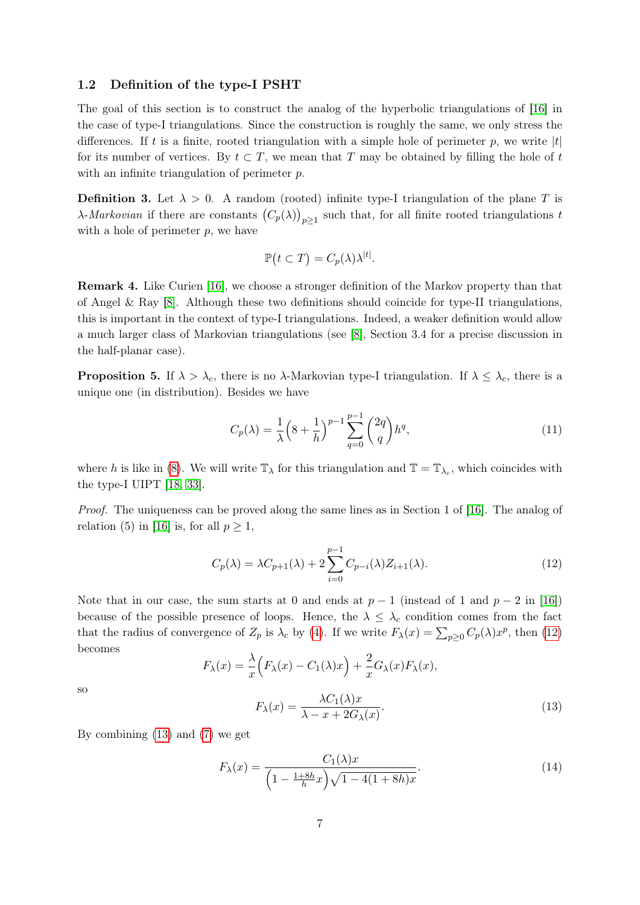#### <span id="page-6-0"></span>1.2 Definition of the type-I PSHT

The goal of this section is to construct the analog of the hyperbolic triangulations of [\[16\]](#page-32-0) in the case of type-I triangulations. Since the construction is roughly the same, we only stress the differences. If t is a finite, rooted triangulation with a simple hole of perimeter p, we write  $|t|$ for its number of vertices. By  $t \subset T$ , we mean that T may be obtained by filling the hole of t with an infinite triangulation of perimeter p.

<span id="page-6-4"></span>**Definition 3.** Let  $\lambda > 0$ . A random (rooted) infinite type-I triangulation of the plane T is  $\lambda$ -*Markovian* if there are constants  $(C_p(\lambda))_{p\geq 1}$  such that, for all finite rooted triangulations to with a hole of perimeter  $p$ , we have

$$
\mathbb{P}(t \subset T) = C_p(\lambda)\lambda^{|t|}.
$$

Remark 4. Like Curien [\[16\]](#page-32-0), we choose a stronger definition of the Markov property than that of Angel & Ray [\[8\]](#page-32-8). Although these two definitions should coincide for type-II triangulations, this is important in the context of type-I triangulations. Indeed, a weaker definition would allow a much larger class of Markovian triangulations (see [\[8\]](#page-32-8), Section 3.4 for a precise discussion in the half-planar case).

**Proposition 5.** If  $\lambda > \lambda_c$ , there is no  $\lambda$ -Markovian type-I triangulation. If  $\lambda \leq \lambda_c$ , there is a unique one (in distribution). Besides we have

<span id="page-6-3"></span>
$$
C_p(\lambda) = \frac{1}{\lambda} \left( 8 + \frac{1}{h} \right)^{p-1} \sum_{q=0}^{p-1} {2q \choose q} h^q,
$$
\n(11)

where h is like in [\(8\)](#page-5-2). We will write  $\mathbb{T}_{\lambda}$  for this triangulation and  $\mathbb{T} = \mathbb{T}_{\lambda_c}$ , which coincides with the type-I UIPT [\[18,](#page-33-6) [33\]](#page-33-8).

Proof. The uniqueness can be proved along the same lines as in Section 1 of [\[16\]](#page-32-0). The analog of relation (5) in [\[16\]](#page-32-0) is, for all  $p > 1$ ,

<span id="page-6-1"></span>
$$
C_p(\lambda) = \lambda C_{p+1}(\lambda) + 2 \sum_{i=0}^{p-1} C_{p-i}(\lambda) Z_{i+1}(\lambda).
$$
 (12)

Note that in our case, the sum starts at 0 and ends at  $p-1$  (instead of 1 and  $p-2$  in [\[16\]](#page-32-0)) because of the possible presence of loops. Hence, the  $\lambda \leq \lambda_c$  condition comes from the fact that the radius of convergence of  $Z_p$  is  $\lambda_c$  by [\(4\)](#page-5-0). If we write  $F_\lambda(x) = \sum_{p\geq 0} C_p(\lambda) x^p$ , then [\(12\)](#page-6-1) becomes

$$
F_{\lambda}(x) = \frac{\lambda}{x} \Big( F_{\lambda}(x) - C_1(\lambda)x \Big) + \frac{2}{x} G_{\lambda}(x) F_{\lambda}(x),
$$

$$
\lambda C_1(\lambda)x
$$

so

<span id="page-6-2"></span>
$$
F_{\lambda}(x) = \frac{\lambda C_1(\lambda)x}{\lambda - x + 2G_{\lambda}(x)}.\tag{13}
$$

By combining [\(13\)](#page-6-2) and [\(7\)](#page-5-1) we get

$$
F_{\lambda}(x) = \frac{C_1(\lambda)x}{\left(1 - \frac{1 + 8h}{h}x\right)\sqrt{1 - 4(1 + 8h)x}}.\tag{14}
$$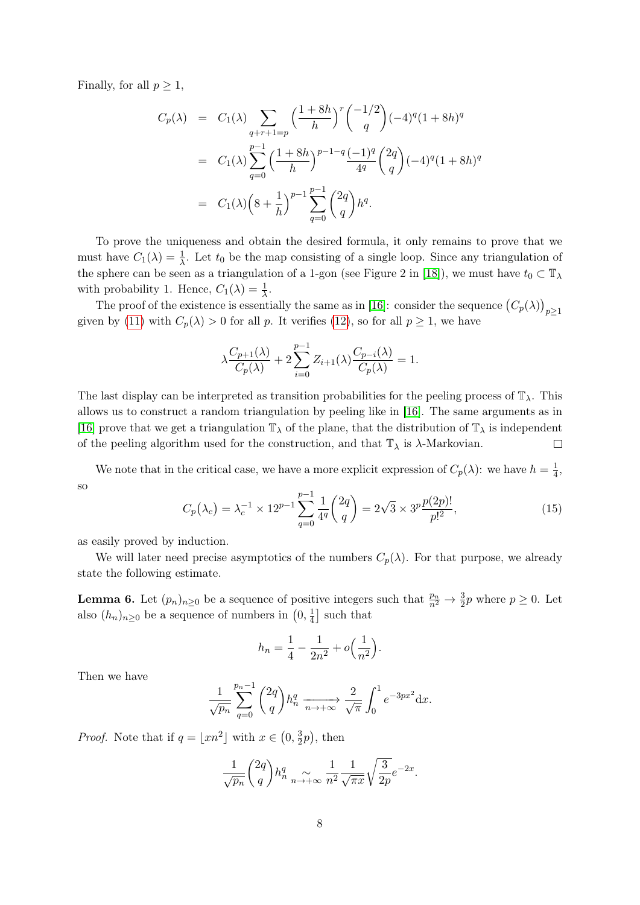Finally, for all  $p \geq 1$ ,

$$
C_p(\lambda) = C_1(\lambda) \sum_{q+r+1=p} \left(\frac{1+8h}{h}\right)^r \binom{-1/2}{q} (-4)^q (1+8h)^q
$$
  
=  $C_1(\lambda) \sum_{q=0}^{p-1} \left(\frac{1+8h}{h}\right)^{p-1-q} \frac{(-1)^q}{4^q} {2q \choose q} (-4)^q (1+8h)^q$   
=  $C_1(\lambda) \left(8+\frac{1}{h}\right)^{p-1} \sum_{q=0}^{p-1} {2q \choose q} h^q.$ 

To prove the uniqueness and obtain the desired formula, it only remains to prove that we must have  $C_1(\lambda) = \frac{1}{\lambda}$ . Let  $t_0$  be the map consisting of a single loop. Since any triangulation of the sphere can be seen as a triangulation of a 1-gon (see Figure 2 in [\[18\]](#page-33-6)), we must have  $t_0 \,\subset T_\lambda$ with probability 1. Hence,  $C_1(\lambda) = \frac{1}{\lambda}$ .

The proof of the existence is essentially the same as in [\[16\]](#page-32-0): consider the sequence  $(C_p(\lambda))_{p\geq 1}$ given by [\(11\)](#page-6-3) with  $C_p(\lambda) > 0$  for all p. It verifies [\(12\)](#page-6-1), so for all  $p \ge 1$ , we have

$$
\lambda \frac{C_{p+1}(\lambda)}{C_p(\lambda)} + 2 \sum_{i=0}^{p-1} Z_{i+1}(\lambda) \frac{C_{p-i}(\lambda)}{C_p(\lambda)} = 1.
$$

The last display can be interpreted as transition probabilities for the peeling process of  $\mathbb{T}_{\lambda}$ . This allows us to construct a random triangulation by peeling like in [\[16\]](#page-32-0). The same arguments as in [\[16\]](#page-32-0) prove that we get a triangulation  $\mathbb{T}_{\lambda}$  of the plane, that the distribution of  $\mathbb{T}_{\lambda}$  is independent of the peeling algorithm used for the construction, and that  $\mathbb{T}_{\lambda}$  is  $\lambda$ -Markovian.  $\Box$ 

We note that in the critical case, we have a more explicit expression of  $C_p(\lambda)$ : we have  $h = \frac{1}{4}$  $\frac{1}{4}$ , so

<span id="page-7-0"></span>
$$
C_p(\lambda_c) = \lambda_c^{-1} \times 12^{p-1} \sum_{q=0}^{p-1} \frac{1}{4^q} \binom{2q}{q} = 2\sqrt{3} \times 3^p \frac{p(2p)!}{p!^2},\tag{15}
$$

as easily proved by induction.

We will later need precise asymptotics of the numbers  $C_p(\lambda)$ . For that purpose, we already state the following estimate.

<span id="page-7-1"></span>**Lemma 6.** Let  $(p_n)_{n\geq 0}$  be a sequence of positive integers such that  $\frac{p_n}{n^2} \to \frac{3}{2}p$  where  $p \geq 0$ . Let also  $(h_n)_{n\geq 0}$  be a sequence of numbers in  $(0, \frac{1}{4})$  $\frac{1}{4}$  such that

$$
h_n = \frac{1}{4} - \frac{1}{2n^2} + o\left(\frac{1}{n^2}\right).
$$

Then we have

$$
\frac{1}{\sqrt{p_n}} \sum_{q=0}^{p_n-1} {2q \choose q} h_n^q \xrightarrow[n \to +\infty]{} \frac{2}{\sqrt{\pi}} \int_0^1 e^{-3px^2} dx.
$$

*Proof.* Note that if  $q = |xn^2|$  with  $x \in (0, \frac{3}{2})$  $(\frac{3}{2}p)$ , then

$$
\frac{1}{\sqrt{p_n}} \binom{2q}{q} h_n^q \underset{n \to +\infty}{\sim} \frac{1}{n^2} \frac{1}{\sqrt{\pi x}} \sqrt{\frac{3}{2p}} e^{-2x}.
$$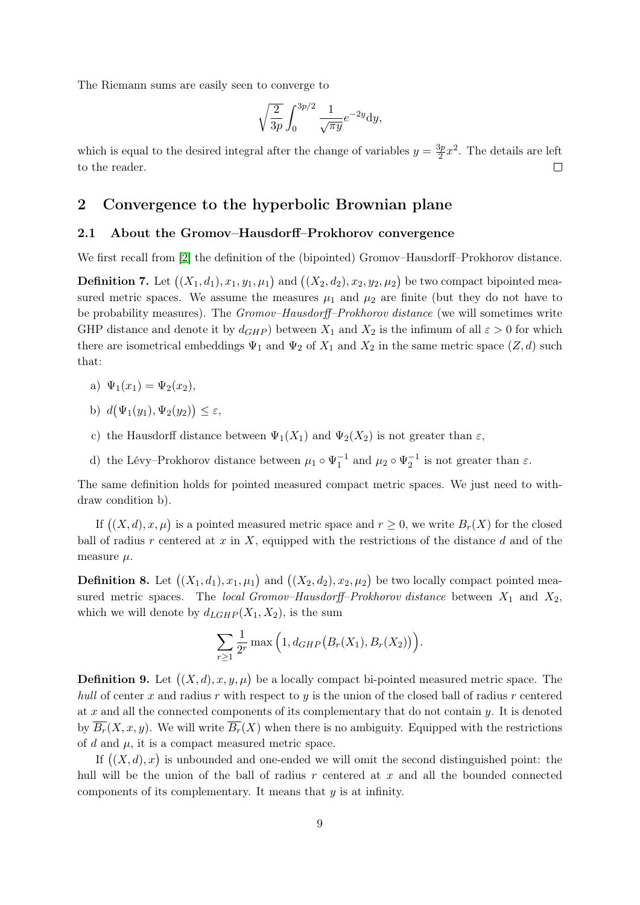The Riemann sums are easily seen to converge to

$$
\sqrt{\frac{2}{3p}} \int_0^{3p/2} \frac{1}{\sqrt{\pi y}} e^{-2y} dy,
$$

which is equal to the desired integral after the change of variables  $y = \frac{3p}{2}$  $\frac{3p}{2}x^2$ . The details are left to the reader.  $\Box$ 

## <span id="page-8-0"></span>2 Convergence to the hyperbolic Brownian plane

#### <span id="page-8-1"></span>2.1 About the Gromov–Hausdorff–Prokhorov convergence

We first recall from [\[2\]](#page-32-12) the definition of the (bipointed) Gromov–Hausdorff–Prokhorov distance.

**Definition 7.** Let  $((X_1, d_1), x_1, y_1, \mu_1)$  and  $((X_2, d_2), x_2, y_2, \mu_2)$  be two compact bipointed measured metric spaces. We assume the measures  $\mu_1$  and  $\mu_2$  are finite (but they do not have to be probability measures). The *Gromov–Hausdorff–Prokhorov distance* (we will sometimes write GHP distance and denote it by  $d_{GHP}$  between  $X_1$  and  $X_2$  is the infimum of all  $\varepsilon > 0$  for which there are isometrical embeddings  $\Psi_1$  and  $\Psi_2$  of  $X_1$  and  $X_2$  in the same metric space  $(Z, d)$  such that:

- a)  $\Psi_1(x_1) = \Psi_2(x_2)$ ,
- b)  $d(\Psi_1(y_1), \Psi_2(y_2)) \leq \varepsilon$ ,
- c) the Hausdorff distance between  $\Psi_1(X_1)$  and  $\Psi_2(X_2)$  is not greater than  $\varepsilon$ ,
- d) the Lévy–Prokhorov distance between  $\mu_1 \circ \Psi_1^{-1}$  and  $\mu_2 \circ \Psi_2^{-1}$  is not greater than  $\varepsilon$ .

The same definition holds for pointed measured compact metric spaces. We just need to withdraw condition b).

If  $((X, d), x, \mu)$  is a pointed measured metric space and  $r \geq 0$ , we write  $B_r(X)$  for the closed ball of radius r centered at  $x$  in  $X$ , equipped with the restrictions of the distance  $d$  and of the measure  $\mu$ .

**Definition 8.** Let  $((X_1, d_1), x_1, \mu_1)$  and  $((X_2, d_2), x_2, \mu_2)$  be two locally compact pointed measured metric spaces. The local Gromov–Hausdorff–Prokhorov distance between  $X_1$  and  $X_2$ , which we will denote by  $d_{LGHP}(X_1, X_2)$ , is the sum

$$
\sum_{r\geq 1}\frac{1}{2^r}\max\Big(1,d_{GHP}\big(B_r(X_1),B_r(X_2)\big)\Big).
$$

**Definition 9.** Let  $((X, d), x, y, \mu)$  be a locally compact bi-pointed measured metric space. The hull of center x and radius r with respect to y is the union of the closed ball of radius r centered at x and all the connected components of its complementary that do not contain  $y$ . It is denoted by  $\overline{B_r}(X, x, y)$ . We will write  $\overline{B_r}(X)$  when there is no ambiguity. Equipped with the restrictions of d and  $\mu$ , it is a compact measured metric space.

If  $((X, d), x)$  is unbounded and one-ended we will omit the second distinguished point: the hull will be the union of the ball of radius  $r$  centered at  $x$  and all the bounded connected components of its complementary. It means that y is at infinity.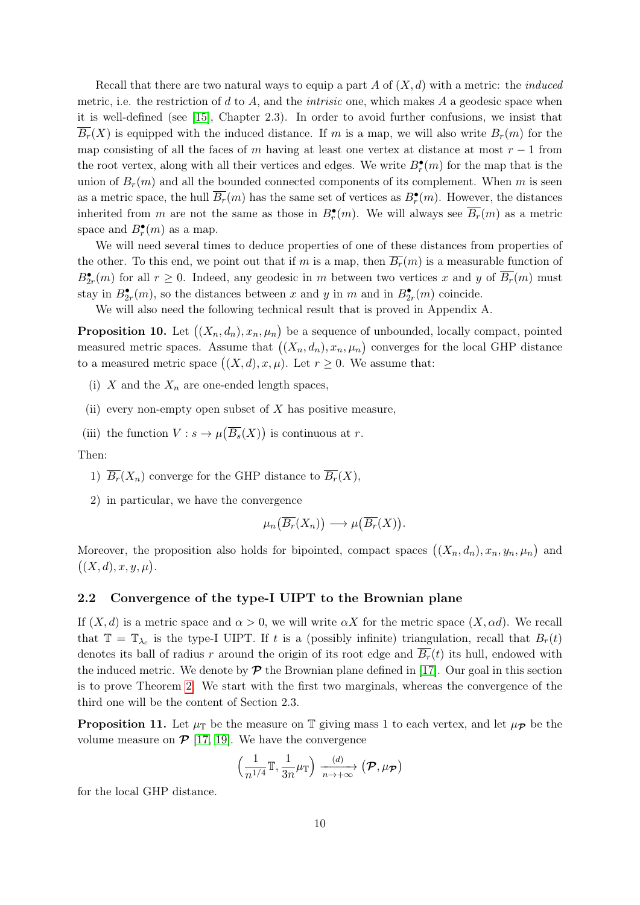Recall that there are two natural ways to equip a part A of  $(X, d)$  with a metric: the *induced* metric, i.e. the restriction of  $d$  to  $A$ , and the *intrisic* one, which makes  $A$  a geodesic space when it is well-defined (see [\[15\]](#page-32-13), Chapter 2.3). In order to avoid further confusions, we insist that  $\overline{B_r}(X)$  is equipped with the induced distance. If m is a map, we will also write  $B_r(m)$  for the map consisting of all the faces of m having at least one vertex at distance at most  $r - 1$  from the root vertex, along with all their vertices and edges. We write  $B_r^{\bullet}(m)$  for the map that is the union of  $B_r(m)$  and all the bounded connected components of its complement. When m is seen as a metric space, the hull  $\overline{B_r}(m)$  has the same set of vertices as  $B_r^{\bullet}(m)$ . However, the distances inherited from m are not the same as those in  $B_r^{\bullet}(m)$ . We will always see  $\overline{B_r}(m)$  as a metric space and  $B_r^{\bullet}(m)$  as a map.

We will need several times to deduce properties of one of these distances from properties of the other. To this end, we point out that if m is a map, then  $\overline{B_r}(m)$  is a measurable function of  $B_{2r}^{\bullet}(m)$  for all  $r \geq 0$ . Indeed, any geodesic in m between two vertices x and y of  $\overline{B_r}(m)$  must stay in  $B_{2r}^{\bullet}(m)$ , so the distances between x and y in m and in  $B_{2r}^{\bullet}(m)$  coincide.

We will also need the following technical result that is proved in Appendix A.

<span id="page-9-0"></span>**Proposition 10.** Let  $((X_n, d_n), x_n, \mu_n)$  be a sequence of unbounded, locally compact, pointed measured metric spaces. Assume that  $((X_n, d_n), x_n, \mu_n)$  converges for the local GHP distance to a measured metric space  $((X, d), x, \mu)$ . Let  $r \geq 0$ . We assume that:

- (i)  $X$  and the  $X_n$  are one-ended length spaces,
- (ii) every non-empty open subset of  $X$  has positive measure,
- (iii) the function  $V: s \to \mu(\overline{B_s}(X))$  is continuous at r.

Then:

- 1)  $\overline{B_r}(X_n)$  converge for the GHP distance to  $\overline{B_r}(X)$ ,
- 2) in particular, we have the convergence

$$
\mu_n(\overline{B_r}(X_n)) \longrightarrow \mu(\overline{B_r}(X)).
$$

Moreover, the proposition also holds for bipointed, compact spaces  $((X_n, d_n), x_n, y_n, \mu_n)$  and  $((X,d),x,y,\mu).$ 

### <span id="page-9-1"></span>2.2 Convergence of the type-I UIPT to the Brownian plane

If  $(X, d)$  is a metric space and  $\alpha > 0$ , we will write  $\alpha X$  for the metric space  $(X, \alpha d)$ . We recall that  $\mathbb{T} = \mathbb{T}_{\lambda_c}$  is the type-I UIPT. If t is a (possibly infinite) triangulation, recall that  $B_r(t)$ denotes its ball of radius r around the origin of its root edge and  $B_r(t)$  its hull, endowed with the induced metric. We denote by  $\mathcal P$  the Brownian plane defined in [\[17\]](#page-33-0). Our goal in this section is to prove Theorem [2.](#page-2-0) We start with the first two marginals, whereas the convergence of the third one will be the content of Section 2.3.

<span id="page-9-2"></span>**Proposition 11.** Let  $\mu_{\mathbb{T}}$  be the measure on  $\mathbb{T}$  giving mass 1 to each vertex, and let  $\mu_{\mathcal{P}}$  be the volume measure on  $\mathcal{P}$  [\[17,](#page-33-0) [19\]](#page-33-1). We have the convergence

$$
\left(\frac{1}{n^{1/4}}\mathbb{T},\frac{1}{3n}\mu_{\mathbb{T}}\right)\xrightarrow[n\to+\infty]{(d)}\left(\mathcal{P},\mu_{\mathcal{P}}\right)
$$

for the local GHP distance.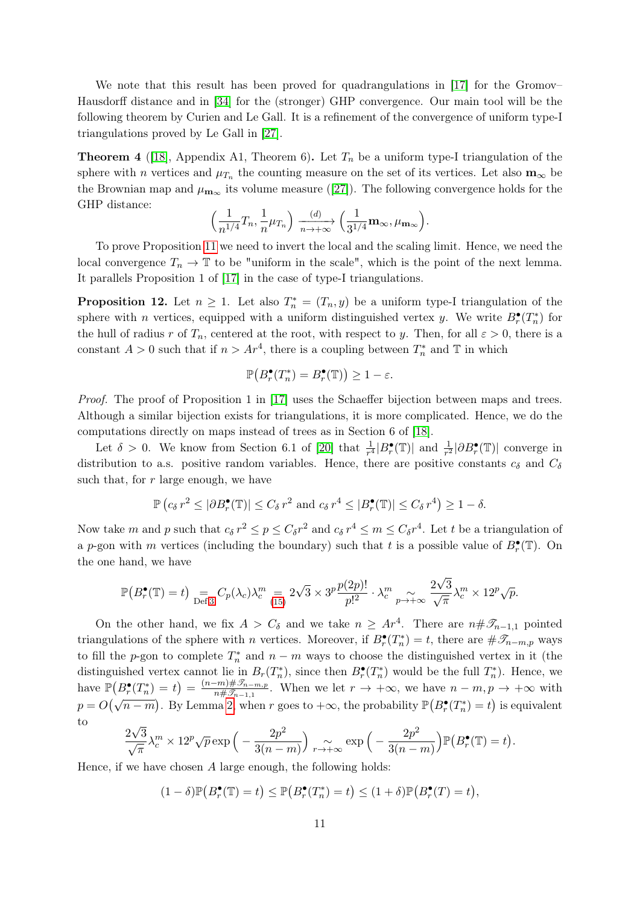We note that this result has been proved for quadrangulations in [\[17\]](#page-33-0) for the Gromov– Hausdorff distance and in [\[34\]](#page-33-15) for the (stronger) GHP convergence. Our main tool will be the following theorem by Curien and Le Gall. It is a refinement of the convergence of uniform type-I triangulations proved by Le Gall in [\[27\]](#page-33-4).

<span id="page-10-1"></span>**Theorem 4** ([\[18\]](#page-33-6), Appendix A1, Theorem 6). Let  $T_n$  be a uniform type-I triangulation of the sphere with *n* vertices and  $\mu_{T_n}$  the counting measure on the set of its vertices. Let also  $\mathbf{m}_{\infty}$  be the Brownian map and  $\mu_{\mathbf{m}_{\infty}}$  its volume measure ([\[27\]](#page-33-4)). The following convergence holds for the GHP distance:

$$
\left(\frac{1}{n^{1/4}}T_n, \frac{1}{n}\mu_{T_n}\right) \xrightarrow[n \to +\infty]{} \left(\frac{1}{3^{1/4}}\mathbf{m}_{\infty}, \mu_{\mathbf{m}_{\infty}}\right).
$$

To prove Proposition [11](#page-9-2) we need to invert the local and the scaling limit. Hence, we need the local convergence  $T_n \to \mathbb{T}$  to be "uniform in the scale", which is the point of the next lemma. It parallels Proposition 1 of [\[17\]](#page-33-0) in the case of type-I triangulations.

<span id="page-10-0"></span>**Proposition 12.** Let  $n \geq 1$ . Let also  $T_n^* = (T_n, y)$  be a uniform type-I triangulation of the sphere with *n* vertices, equipped with a uniform distinguished vertex *y*. We write  $B_r^{\bullet}(T_n^*)$  for the hull of radius r of  $T_n$ , centered at the root, with respect to y. Then, for all  $\varepsilon > 0$ , there is a constant  $A > 0$  such that if  $n > Ar^4$ , there is a coupling between  $T_n^*$  and  $\mathbb T$  in which

$$
\mathbb{P}\big(B_r^\bullet(T_n^*)=B_r^\bullet(\mathbb{T})\big)\geq 1-\varepsilon.
$$

Proof. The proof of Proposition 1 in [\[17\]](#page-33-0) uses the Schaeffer bijection between maps and trees. Although a similar bijection exists for triangulations, it is more complicated. Hence, we do the computations directly on maps instead of trees as in Section 6 of [\[18\]](#page-33-6).

Let  $\delta > 0$ . We know from Section 6.1 of [\[20\]](#page-33-7) that  $\frac{1}{r^4} |B_r^{\bullet}(\mathbb{T})|$  and  $\frac{1}{r^2} |\partial B_r^{\bullet}(\mathbb{T})|$  converge in distribution to a.s. positive random variables. Hence, there are positive constants  $c_{\delta}$  and  $C_{\delta}$ such that, for  $r$  large enough, we have

$$
\mathbb{P}\left(c_{\delta} r^2 \leq |\partial B^{\bullet}_{r}(\mathbb{T})| \leq C_{\delta} r^2 \text{ and } c_{\delta} r^4 \leq |B^{\bullet}_{r}(\mathbb{T})| \leq C_{\delta} r^4\right) \geq 1-\delta.
$$

Now take m and p such that  $c_{\delta} r^2 \le p \le C_{\delta} r^2$  and  $c_{\delta} r^4 \le m \le C_{\delta} r^4$ . Let t be a triangulation of a p-gon with m vertices (including the boundary) such that t is a possible value of  $B_r^{\bullet}(\mathbb{T})$ . On the one hand, we have

$$
\mathbb{P}\big(B_r^{\bullet}(\mathbb{T})=t\big) \underset{\text{Def 3}}{=} C_p(\lambda_c) \lambda_c^m = 2\sqrt{3} \times 3^p \frac{p(2p)!}{p!^2} \cdot \lambda_c^m \underset{p \to +\infty}{\sim} \frac{2\sqrt{3}}{\sqrt{\pi}} \lambda_c^m \times 12^p \sqrt{p}.
$$

On the other hand, we fix  $A > C_{\delta}$  and we take  $n \geq Ar^4$ . There are  $n \# \mathscr{T}_{n-1,1}$  pointed triangulations of the sphere with *n* vertices. Moreover, if  $B_r^{\bullet}(T_n^*) = t$ , there are  $\#\mathscr{T}_{n-m,p}$  ways to fill the p-gon to complete  $T_n^*$  and  $n - m$  ways to choose the distinguished vertex in it (the distinguished vertex cannot lie in  $B_r(T_n^*)$ , since then  $B_r^{\bullet}(T_n^*)$  would be the full  $T_n^*$ ). Hence, we have  $\mathbb{P}(B_r^{\bullet}(T_n^*)=t) = \frac{(n-m)\# \mathcal{I}_{n-m,p}}{n\# \mathcal{I}_{n-1,1}}$  $\frac{-m}{n\# \mathcal{I}_{n-1,1}}$ . When we let  $r \to +\infty$ , we have  $n-m, p \to +\infty$  with  $p = O(\sqrt{n-m})$ . By Lemma [2,](#page-5-3) when r goes to  $+\infty$ , the probability  $\mathbb{P}(B_r^{\bullet}(T_n^*) = t)$  is equivalent to √

$$
\frac{2\sqrt{3}}{\sqrt{\pi}}\lambda_c^m \times 12^p \sqrt{p} \exp\left(-\frac{2p^2}{3(n-m)}\right) \underset{r \to +\infty}{\sim} \exp\left(-\frac{2p^2}{3(n-m)}\right) \mathbb{P}\left(B_r^{\bullet}(\mathbb{T})=t\right).
$$

Hence, if we have chosen  $A$  large enough, the following holds:

$$
(1 - \delta)\mathbb{P}\big(B_r^{\bullet}(\mathbb{T}) = t\big) \le \mathbb{P}\big(B_r^{\bullet}(T_n^*) = t\big) \le (1 + \delta)\mathbb{P}\big(B_r^{\bullet}(T) = t\big),
$$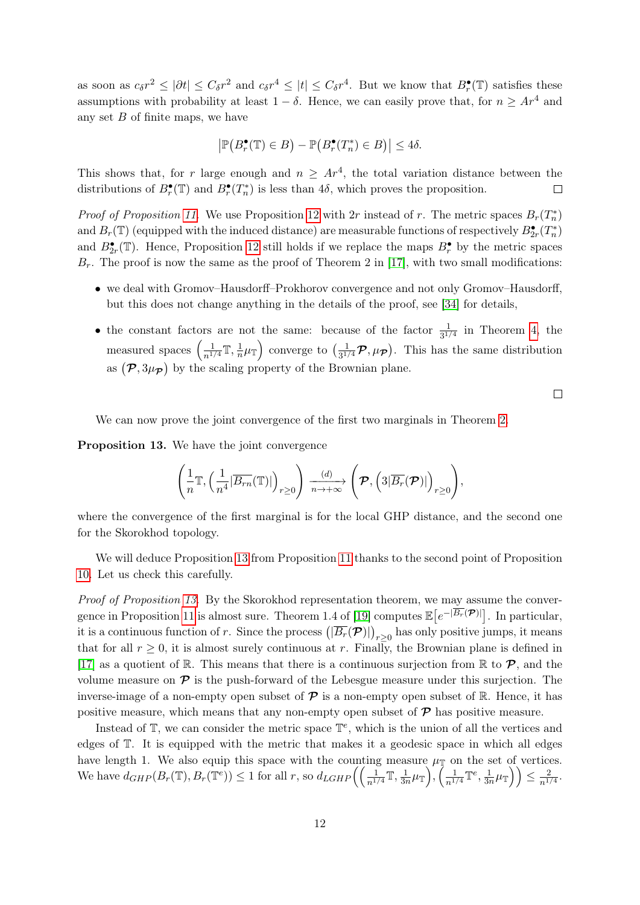as soon as  $c_{\delta}r^2 \leq |\partial t| \leq C_{\delta}r^2$  and  $c_{\delta}r^4 \leq |t| \leq C_{\delta}r^4$ . But we know that  $B_r^{\bullet}(\mathbb{T})$  satisfies these assumptions with probability at least  $1 - \delta$ . Hence, we can easily prove that, for  $n \geq Ar^4$  and any set  $B$  of finite maps, we have

$$
\left| \mathbb{P}\big(B_r^{\bullet}(\mathbb{T}) \in B\big) - \mathbb{P}\big(B_r^{\bullet}(T_n^*) \in B\big) \right| \leq 4\delta.
$$

This shows that, for r large enough and  $n \geq Ar^4$ , the total variation distance between the distributions of  $B_r^{\bullet}(\mathbb{T})$  and  $B_r^{\bullet}(T_n^*)$  is less than 4 $\delta$ , which proves the proposition.  $\Box$ 

*Proof of Proposition [11.](#page-9-2)* We use Proposition [12](#page-10-0) with 2r instead of r. The metric spaces  $B_r(T_n^*)$ and  $B_r(\mathbb{T})$  (equipped with the induced distance) are measurable functions of respectively  $B_{2r}^{\bullet}(T_n^*)$ and  $B_{2r}^{\bullet}(\mathbb{T})$ . Hence, Proposition [12](#page-10-0) still holds if we replace the maps  $B_r^{\bullet}$  by the metric spaces  $B_r$ . The proof is now the same as the proof of Theorem 2 in [\[17\]](#page-33-0), with two small modifications:

- we deal with Gromov–Hausdorff–Prokhorov convergence and not only Gromov–Hausdorff, but this does not change anything in the details of the proof, see [\[34\]](#page-33-15) for details,
- the constant factors are not the same: because of the factor  $\frac{1}{3^{1/4}}$  in Theorem [4,](#page-10-1) the measured spaces  $\left(\frac{1}{n^{1/4}}\mathbb{T},\frac{1}{n}\right)$  $\frac{1}{n}\mu_{\mathbb{T}}\Big)$  converge to  $\left(\frac{1}{3^{1/2}}\right)$  $\frac{1}{3^{1/4}}$  $\mathcal{P}, \mu_{\mathcal{P}}$ ). This has the same distribution as  $(\mathcal{P}, 3\mu_{\mathcal{P}})$  by the scaling property of the Brownian plane.

 $\Box$ 

We can now prove the joint convergence of the first two marginals in Theorem [2.](#page-2-0)

<span id="page-11-0"></span>Proposition 13. We have the joint convergence

$$
\left(\frac{1}{n}\mathbb T,\left(\frac{1}{n^4}|\overline{B_{rn}}(\mathbb T)|\right)_{r\geq 0}\right)\xrightarrow[n\to+\infty]{(d)}\left(\mathcal P,\left(3|\overline{B_{r}}(\mathcal P)|\right)_{r\geq 0}\right),
$$

where the convergence of the first marginal is for the local GHP distance, and the second one for the Skorokhod topology.

We will deduce Proposition [13](#page-11-0) from Proposition [11](#page-9-2) thanks to the second point of Proposition [10.](#page-9-0) Let us check this carefully.

Proof of Proposition [13.](#page-11-0) By the Skorokhod representation theorem, we may assume the conver-gence in Proposition [11](#page-9-2) is almost sure. Theorem 1.4 of [\[19\]](#page-33-1) computes  $\mathbb{E}\left[e^{-|\overline{B_r}(\mathcal{P})|}\right]$ . In particular, it is a continuous function of r. Since the process  $(|\overline{B_r}(\mathcal{P})|)_{r\geq 0}$  has only positive jumps, it means that for all  $r \geq 0$ , it is almost surely continuous at r. Finally, the Brownian plane is defined in [\[17\]](#page-33-0) as a quotient of R. This means that there is a continuous surjection from R to  $\mathcal{P}$ , and the volume measure on  $\mathcal P$  is the push-forward of the Lebesgue measure under this surjection. The inverse-image of a non-empty open subset of  $\mathcal P$  is a non-empty open subset of R. Hence, it has positive measure, which means that any non-empty open subset of  $\mathcal{P}$  has positive measure.

Instead of  $\mathbb{T}$ , we can consider the metric space  $\mathbb{T}^e$ , which is the union of all the vertices and edges of T. It is equipped with the metric that makes it a geodesic space in which all edges have length 1. We also equip this space with the counting measure  $\mu_{\mathbb{T}}$  on the set of vertices. We have  $d_{GHP}(B_r(\mathbb{T}), B_r(\mathbb{T}^e)) \leq 1$  for all r, so  $d_{LGHP}\left(\left(\frac{1}{n^{1/4}}\mathbb{T}, \frac{1}{3n^{1/4}}\right)\right)$  $\left(\frac{1}{n^{1/4}}\mathbb{T}^e,\frac{1}{3n}\right)$  $\left(\frac{1}{3n}\mu_{\mathbb{T}}\right)\right)\leq \frac{2}{n^1}$  $\frac{2}{n^{1/4}}$ .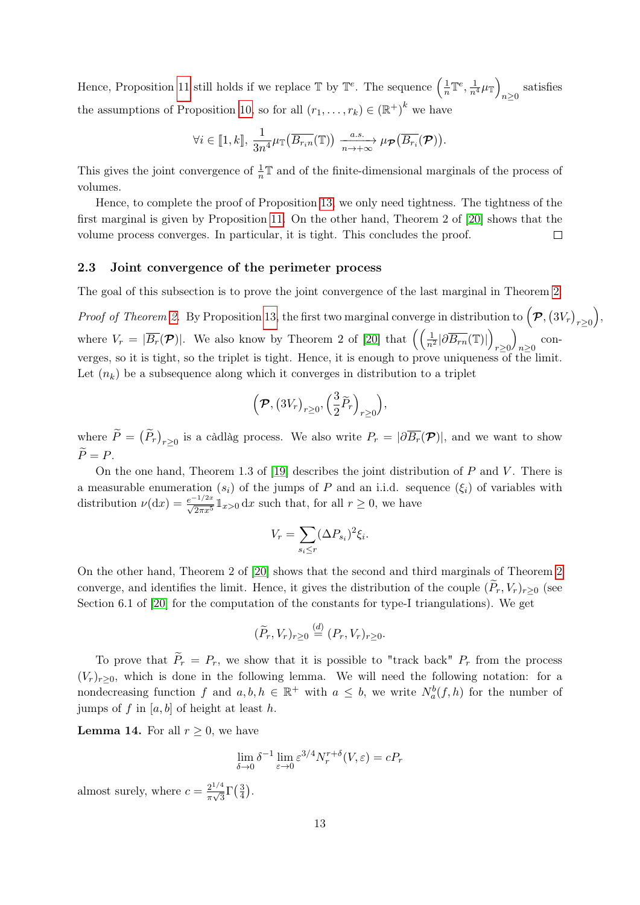Hence, Proposition [11](#page-9-2) still holds if we replace  $\mathbb{T}$  by  $\mathbb{T}^e$ . The sequence  $\left(\frac{1}{n}\right)$  $\frac{1}{n} \mathbb{T}^e, \frac{1}{n^4} \mu_{\mathbb{T}}$ satisfies<br> $n\geq 0$ the assumptions of Proposition [10,](#page-9-0) so for all  $(r_1, \ldots, r_k) \in (\mathbb{R}^+)^k$  we have

$$
\forall i \in [\![1, k]\!], \frac{1}{3n^4} \mu_{\mathbb{T}}(\overline{B_{r_i n}}(\mathbb{T})) \xrightarrow[n \to +\infty]{a.s.} \mu_{\mathcal{P}}(\overline{B_{r_i}}(\mathcal{P})).
$$

This gives the joint convergence of  $\frac{1}{n}\mathbb{T}$  and of the finite-dimensional marginals of the process of volumes.

Hence, to complete the proof of Proposition [13,](#page-11-0) we only need tightness. The tightness of the first marginal is given by Proposition [11.](#page-9-2) On the other hand, Theorem 2 of [\[20\]](#page-33-7) shows that the volume process converges. In particular, it is tight. This concludes the proof.  $\Box$ 

#### <span id="page-12-0"></span>2.3 Joint convergence of the perimeter process

The goal of this subsection is to prove the joint convergence of the last marginal in Theorem [2.](#page-2-0)

Proof of Theorem [2.](#page-2-0) By Proposition [13,](#page-11-0) the first two marginal converge in distribution to  $(\mathcal{P}, (3V_r)_{r\geq 0})$ , where  $V_r = |\overline{B_r}(\mathcal{P})|$ . We also know by Theorem 2 of [\[20\]](#page-33-7) that  $\left( \left( \frac{1}{n^2} |\partial \overline{B_{rn}}(\mathbb{T})| \right) \right)$  $r \geq 0$  $\setminus$  $n \geq 0$  converges, so it is tight, so the triplet is tight. Hence, it is enough to prove uniqueness of the limit. Let  $(n_k)$  be a subsequence along which it converges in distribution to a triplet

$$
\left(\boldsymbol{\mathcal{P}},\left(3V_r\right)_{r\geq0},\left(\frac{3}{2}\widetilde{P}_r\right)_{r\geq0}\right),\right
$$

where  $\overline{P} = (P_r)_{r \geq 0}$  is a càdlàg process. We also write  $P_r = |\partial \overline{B_r}(\mathcal{P})|$ , and we want to show  $\widetilde{P}=P.$ 

On the one hand, Theorem 1.3 of [\[19\]](#page-33-1) describes the joint distribution of  $P$  and  $V$ . There is a measurable enumeration  $(s_i)$  of the jumps of P and an i.i.d. sequence  $(\xi_i)$  of variables with distribution  $\nu(\mathrm{d}x) = \frac{e^{-1/2x}}{\sqrt{2\pi x^5}} \mathbb{1}_{x>0} \, \mathrm{d}x$  such that, for all  $r \geq 0$ , we have

$$
V_r = \sum_{s_i \le r} (\Delta P_{s_i})^2 \xi_i.
$$

On the other hand, Theorem 2 of [\[20\]](#page-33-7) shows that the second and third marginals of Theorem [2](#page-2-0) converge, and identifies the limit. Hence, it gives the distribution of the couple  $(\widetilde{P}_r, V_r)_{r>0}$  (see Section 6.1 of [\[20\]](#page-33-7) for the computation of the constants for type-I triangulations). We get

$$
(\widetilde{P}_r, V_r)_{r \geq 0} \stackrel{(d)}{=} (P_r, V_r)_{r \geq 0}.
$$

To prove that  $\widetilde{P}_r = P_r$ , we show that it is possible to "track back"  $P_r$  from the process  $(V<sub>r</sub>)<sub>r>0</sub>$ , which is done in the following lemma. We will need the following notation: for a nondecreasing function f and  $a, b, h \in \mathbb{R}^+$  with  $a \leq b$ , we write  $N_a^b(f, h)$  for the number of jumps of f in  $[a, b]$  of height at least h.

<span id="page-12-1"></span>**Lemma 14.** For all  $r \geq 0$ , we have

$$
\lim_{\delta \to 0} \delta^{-1} \lim_{\varepsilon \to 0} \varepsilon^{3/4} N_r^{r+\delta}(V, \varepsilon) = c P_r
$$

almost surely, where  $c = \frac{2^{1/4}}{10^{6}}$  $\frac{2^{1/4}}{\pi\sqrt{3}}\Gamma\left(\frac{3}{4}\right)$  $\frac{3}{4}$ .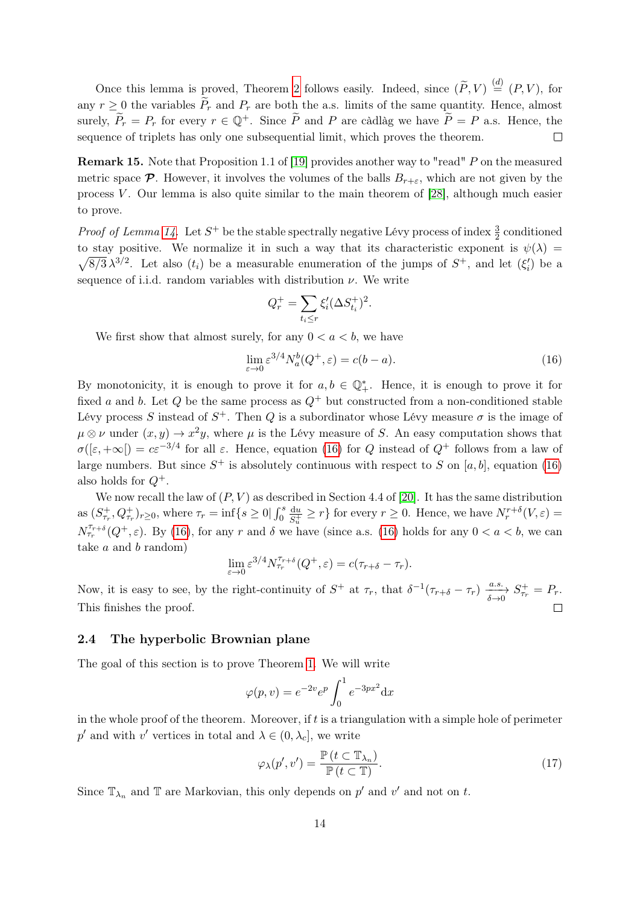Once this lemma is proved, Theorem [2](#page-2-0) follows easily. Indeed, since  $(\widetilde{P}, V) \stackrel{(d)}{=} (P, V)$ , for any  $r \geq 0$  the variables  $\widetilde{P}_r$  and  $P_r$  are both the a.s. limits of the same quantity. Hence, almost surely,  $\widetilde{P}_r = P_r$  for every  $r \in \mathbb{Q}^+$ . Since  $\widetilde{P}$  and P are càdlàg we have  $\widetilde{P} = P$  a.s. Hence, the sequence of triplets has only one subsequential limit, which proves the theorem. sequence of triplets has only one subsequential limit, which proves the theorem.

**Remark 15.** Note that Proposition 1.1 of [\[19\]](#page-33-1) provides another way to "read" P on the measured metric space  $\mathcal P$ . However, it involves the volumes of the balls  $B_{r+\varepsilon}$ , which are not given by the process  $V$ . Our lemma is also quite similar to the main theorem of [\[28\]](#page-33-16), although much easier to prove.

*Proof of Lemma [14.](#page-12-1)* Let  $S^+$  be the stable spectrally negative Lévy process of index  $\frac{3}{2}$  conditioned to stay positive. We normalize it in such a way that its characteristic exponent is  $\psi(\lambda)$  $\sqrt{8/3} \lambda^{3/2}$ . Let also  $(t_i)$  be a measurable enumeration of the jumps of  $S^+$ , and let  $(\xi_i')$  be a sequence of i.i.d. random variables with distribution  $\nu$ . We write

$$
Q_r^+ = \sum_{t_i \le r} \xi_i' (\Delta S_{t_i}^+)^2.
$$

We first show that almost surely, for any  $0 < a < b$ , we have

<span id="page-13-1"></span>
$$
\lim_{\varepsilon \to 0} \varepsilon^{3/4} N_a^b(Q^+, \varepsilon) = c(b - a). \tag{16}
$$

By monotonicity, it is enough to prove it for  $a, b \in \mathbb{Q}_{+}^{*}$ . Hence, it is enough to prove it for fixed a and b. Let Q be the same process as  $Q^+$  but constructed from a non-conditioned stable Lévy process S instead of  $S^+$ . Then Q is a subordinator whose Lévy measure  $\sigma$  is the image of  $\mu \otimes \nu$  under  $(x, y) \to x^2y$ , where  $\mu$  is the Lévy measure of S. An easy computation shows that  $\sigma([\varepsilon, +\infty]) = c\varepsilon^{-3/4}$  for all  $\varepsilon$ . Hence, equation [\(16\)](#page-13-1) for Q instead of  $Q^+$  follows from a law of large numbers. But since  $S^+$  is absolutely continuous with respect to S on [a, b], equation [\(16\)](#page-13-1) also holds for  $Q^+$ .

We now recall the law of  $(P, V)$  as described in Section 4.4 of [\[20\]](#page-33-7). It has the same distribution as  $(S_{\tau_r}^+, Q_{\tau_r}^+)_{{r \geq 0}}$ , where  $\tau_r = \inf\{s \geq 0 | \int_0^s$ du  $\frac{du}{S_u^+} \geq r$  for every  $r \geq 0$ . Hence, we have  $N_r^{r+\delta}(V, \varepsilon) =$  $N_{\tau_r}^{\tau_{r+\delta}}(Q^+, \varepsilon)$ . By [\(16\)](#page-13-1), for any r and  $\delta$  we have (since a.s. (16) holds for any  $0 < a < b$ , we can take a and b random)

$$
\lim_{\varepsilon \to 0} \varepsilon^{3/4} N_{\tau_r}^{\tau_{r+\delta}}(Q^+, \varepsilon) = c(\tau_{r+\delta} - \tau_r).
$$

Now, it is easy to see, by the right-continuity of  $S^+$  at  $\tau_r$ , that  $\delta^{-1}(\tau_{r+\delta}-\tau_r) \xrightarrow[\delta \to 0]{a.s.} S^+_{\tau_r} = P_r$ . This finishes the proof.

### <span id="page-13-0"></span>2.4 The hyperbolic Brownian plane

The goal of this section is to prove Theorem [1.](#page-1-3) We will write

$$
\varphi(p,v) = e^{-2v} e^p \int_0^1 e^{-3px^2} dx
$$

in the whole proof of the theorem. Moreover, if  $t$  is a triangulation with a simple hole of perimeter  $p'$  and with  $v'$  vertices in total and  $\lambda \in (0, \lambda_c]$ , we write

<span id="page-13-2"></span>
$$
\varphi_{\lambda}(p',v') = \frac{\mathbb{P}\left(t \subset \mathbb{T}_{\lambda_n}\right)}{\mathbb{P}\left(t \subset \mathbb{T}\right)}.\tag{17}
$$

Since  $\mathbb{T}_{\lambda_n}$  and  $\mathbb{T}$  are Markovian, this only depends on  $p'$  and  $v'$  and not on t.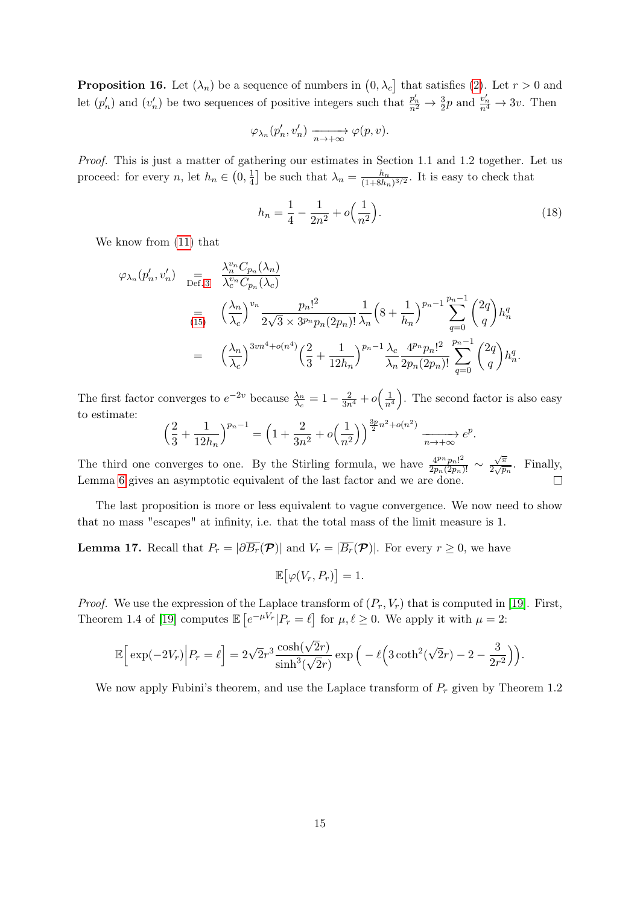<span id="page-14-0"></span>**Proposition 16.** Let  $(\lambda_n)$  be a sequence of numbers in  $(0, \lambda_c]$  that satisfies [\(2\)](#page-1-1). Let  $r > 0$  and let  $(p'_n)$  and  $(v'_n)$  be two sequences of positive integers such that  $\frac{p'_n}{n^2} \to \frac{3}{2}p$  and  $\frac{v'_n}{n^4} \to 3v$ . Then

$$
\varphi_{\lambda_n}(p'_n, v'_n) \xrightarrow[n \to +\infty]{} \varphi(p, v).
$$

Proof. This is just a matter of gathering our estimates in Section 1.1 and 1.2 together. Let us proceed: for every n, let  $h_n \in (0, \frac{1}{4})$  $\frac{1}{4}$  be such that  $\lambda_n = \frac{h_n}{(1+8h_n)}$  $\frac{h_n}{(1+8h_n)^{3/2}}$ . It is easy to check that

$$
h_n = \frac{1}{4} - \frac{1}{2n^2} + o\left(\frac{1}{n^2}\right).
$$
\n(18)

We know from [\(11\)](#page-6-3) that

$$
\varphi_{\lambda_n}(p'_n, v'_n) = \frac{\lambda_n^{v_n} C_{p_n}(\lambda_n)}{\lambda_c^{v_n} C_{p_n}(\lambda_c)}
$$
  
\n
$$
= \left(\frac{\lambda_n}{\lambda_c}\right)^{v_n} \frac{p_n!^2}{2\sqrt{3} \times 3^{p_n} p_n(2p_n)!} \frac{1}{\lambda_n} \left(8 + \frac{1}{h_n}\right)^{p_n - 1} \sum_{q=0}^{p_n - 1} {2q \choose q} h_n^q
$$
  
\n
$$
= \left(\frac{\lambda_n}{\lambda_c}\right)^{3vn^4 + o(n^4)} \left(\frac{2}{3} + \frac{1}{12h_n}\right)^{p_n - 1} \frac{\lambda_c}{\lambda_n} \frac{4^{p_n} p_n!^2}{2p_n(2p_n)!} \sum_{q=0}^{p_n - 1} {2q \choose q} h_n^q.
$$

The first factor converges to  $e^{-2v}$  because  $\frac{\lambda_n}{\lambda_c} = 1 - \frac{2}{3n^4} + o\left(\frac{1}{n^4}\right)$ . The second factor is also easy to estimate:

$$
\left(\frac{2}{3} + \frac{1}{12h_n}\right)^{p_n - 1} = \left(1 + \frac{2}{3n^2} + o\left(\frac{1}{n^2}\right)\right)^{\frac{3p}{2}n^2 + o(n^2)} \xrightarrow[n \to +\infty]{} e^p.
$$

 $\sqrt{\pi}$ The third one converges to one. By the Stirling formula, we have  $\frac{4^{p_n} p_n!^2}{2^{p_n}(2p_n)!} \sim$  $\frac{\sqrt{\pi}}{2\sqrt{p_n}}$ . Finally, Lemma [6](#page-7-1) gives an asymptotic equivalent of the last factor and we are done.  $\Box$ 

The last proposition is more or less equivalent to vague convergence. We now need to show that no mass "escapes" at infinity, i.e. that the total mass of the limit measure is 1.

<span id="page-14-1"></span>**Lemma 17.** Recall that  $P_r = |\partial \overline{B_r}(\mathcal{P})|$  and  $V_r = |\overline{B_r}(\mathcal{P})|$ . For every  $r \geq 0$ , we have  $\mathbb{E}[\varphi(V_r, P_r)] = 1.$ 

*Proof.* We use the expression of the Laplace transform of  $(P_r, V_r)$  that is computed in [\[19\]](#page-33-1). First, Theorem 1.4 of [\[19\]](#page-33-1) computes  $\mathbb{E}\left[e^{-\mu V_r}|P_r=\ell\right]$  for  $\mu,\ell\geq 0$ . We apply it with  $\mu=2$ :

$$
\mathbb{E}\Big[\exp(-2V_r)\Big|P_r=\ell\Big]=2\sqrt{2}r^3\frac{\cosh(\sqrt{2}r)}{\sinh^3(\sqrt{2}r)}\exp\Big(-\ell\Big(3\coth^2(\sqrt{2}r)-2-\frac{3}{2r^2}\Big)\Big).
$$

We now apply Fubini's theorem, and use the Laplace transform of  $P_r$  given by Theorem 1.2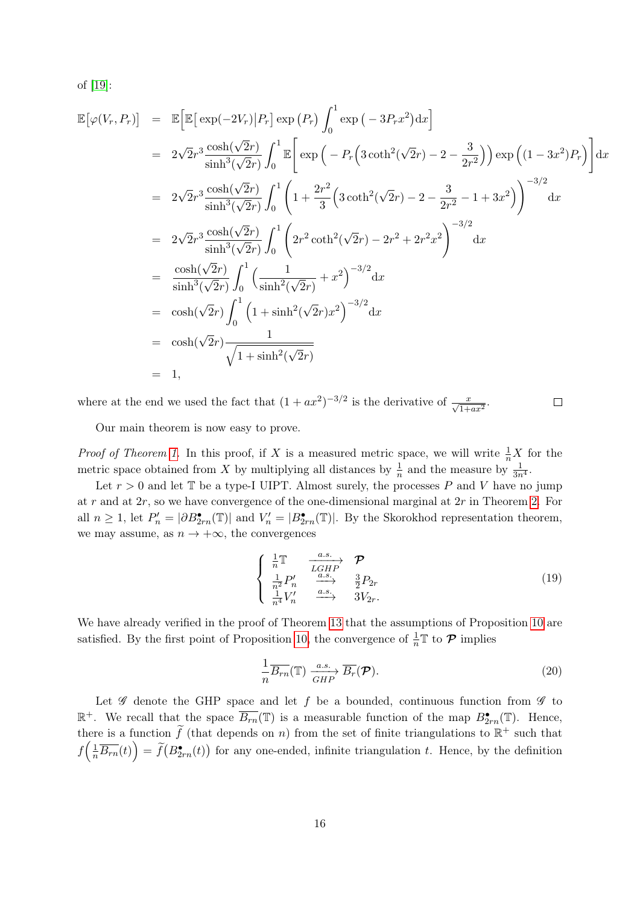of [\[19\]](#page-33-1):

$$
\mathbb{E}[\varphi(V_r, P_r)] = \mathbb{E}[\mathbb{E}[\exp(-2V_r)|P_r] \exp(P_r) \int_0^1 \exp(-3P_r x^2) dx]
$$
  
\n
$$
= 2\sqrt{2}r^3 \frac{\cosh(\sqrt{2}r)}{\sinh^3(\sqrt{2}r)} \int_0^1 \mathbb{E}[\exp(-P_r (3 \coth^2(\sqrt{2}r) - 2 - \frac{3}{2r^2})) \exp((1 - 3x^2)P_r)] dx
$$
  
\n
$$
= 2\sqrt{2}r^3 \frac{\cosh(\sqrt{2}r)}{\sinh^3(\sqrt{2}r)} \int_0^1 \left(1 + \frac{2r^2}{3} (3 \coth^2(\sqrt{2}r) - 2 - \frac{3}{2r^2} - 1 + 3x^2)\right)^{-3/2} dx
$$
  
\n
$$
= 2\sqrt{2}r^3 \frac{\cosh(\sqrt{2}r)}{\sinh^3(\sqrt{2}r)} \int_0^1 \left(2r^2 \coth^2(\sqrt{2}r) - 2r^2 + 2r^2 x^2\right)^{-3/2} dx
$$
  
\n
$$
= \frac{\cosh(\sqrt{2}r)}{\sinh^3(\sqrt{2}r)} \int_0^1 \left(\frac{1}{\sinh^2(\sqrt{2}r)} + x^2\right)^{-3/2} dx
$$
  
\n
$$
= \cosh(\sqrt{2}r) \int_0^1 (1 + \sinh^2(\sqrt{2}r) x^2)^{-3/2} dx
$$
  
\n
$$
= \cosh(\sqrt{2}r) \int_0^1 (1 + \sinh^2(\sqrt{2}r) x^2)^{-3/2} dx
$$
  
\n
$$
= \cosh(\sqrt{2}r) \frac{1}{\sqrt{1 + \sinh^2(\sqrt{2}r)}}
$$
  
\n
$$
= 1,
$$

where at the end we used the fact that  $(1 + ax^2)^{-3/2}$  is the derivative of  $\frac{x}{\sqrt{1 + ax^2}}$ .  $\Box$ 

Our main theorem is now easy to prove.

*Proof of Theorem [1.](#page-1-3)* In this proof, if X is a measured metric space, we will write  $\frac{1}{n}X$  for the metric space obtained from X by multiplying all distances by  $\frac{1}{n}$  and the measure by  $\frac{1}{3n^4}$ .

Let  $r > 0$  and let  $\mathbb T$  be a type-I UIPT. Almost surely, the processes P and V have no jump at r and at  $2r$ , so we have convergence of the one-dimensional marginal at  $2r$  in Theorem [2.](#page-2-0) For all  $n \geq 1$ , let  $P'_n = |\partial B_{2rn}^{\bullet}(\mathbb{T})|$  and  $V'_n = |B_{2rn}^{\bullet}(\mathbb{T})|$ . By the Skorokhod representation theorem, we may assume, as  $n \to +\infty$ , the convergences

<span id="page-15-0"></span>
$$
\begin{cases}\n\frac{1}{n}\mathbb{T} & \xrightarrow{a.s.} \mathcal{P} \\
\frac{1}{n^2}P'_n & \xrightarrow{a.s.} \frac{3}{2}P_{2r} \\
\frac{1}{n^4}V'_n & \xrightarrow{a.s.} 3V_{2r}.\n\end{cases}
$$
\n(19)

We have already verified in the proof of Theorem [13](#page-11-0) that the assumptions of Proposition [10](#page-9-0) are satisfied. By the first point of Proposition [10,](#page-9-0) the convergence of  $\frac{1}{n}\mathbb{T}$  to  $\mathcal{P}$  implies

<span id="page-15-1"></span>
$$
\frac{1}{n}\overline{B_{rn}}(\mathbb{T}) \xrightarrow[GHP]{} \overline{B_r}(\mathcal{P}).
$$
\n(20)

Let  $\mathscr G$  denote the GHP space and let f be a bounded, continuous function from  $\mathscr G$  to  $\mathbb{R}^+$ . We recall that the space  $\overline{B_{rn}}(\mathbb{T})$  is a measurable function of the map  $B_{2rn}^{\bullet}(\mathbb{T})$ . Hence, there is a function  $\widetilde{f}$  (that depends on n) from the set of finite triangulations to  $\mathbb{R}^+$  such that  $f\left(\frac{1}{n}\overline{B_{rn}}(t)\right) = \widetilde{f}(B_{2rn}(\tau))$  for any one-ended, infinite triangulation t. Hence, by the definition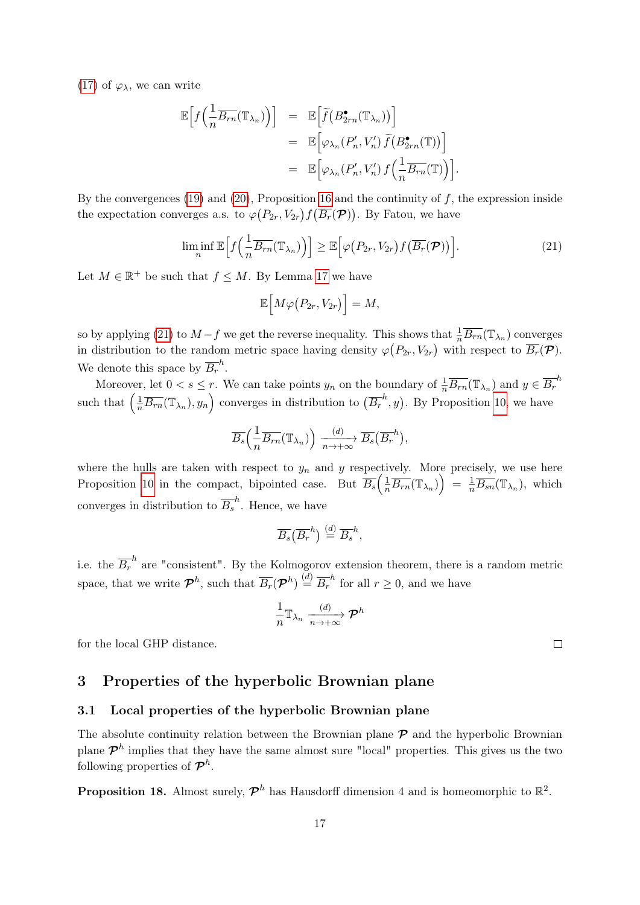[\(17\)](#page-13-2) of  $\varphi_{\lambda}$ , we can write

$$
\mathbb{E}\Big[f\Big(\frac{1}{n}\overline{B_{rn}}(\mathbb{T}_{\lambda_n})\Big)\Big] = \mathbb{E}\Big[\widetilde{f}\big(B_{2rn}^{\bullet}(\mathbb{T}_{\lambda_n})\big)\Big] \n= \mathbb{E}\Big[\varphi_{\lambda_n}(P'_n,V'_n)\,\widetilde{f}\big(B_{2rn}^{\bullet}(\mathbb{T})\big)\Big] \n= \mathbb{E}\Big[\varphi_{\lambda_n}(P'_n,V'_n)\,f\Big(\frac{1}{n}\overline{B_{rn}}(\mathbb{T})\Big)\Big].
$$

By the convergences [\(19\)](#page-15-0) and [\(20\)](#page-15-1), Proposition [16](#page-14-0) and the continuity of f, the expression inside the expectation converges a.s. to  $\varphi(P_{2r}, V_{2r}) f(\overline{B_r}(\mathcal{P}))$ . By Fatou, we have

<span id="page-16-2"></span>
$$
\liminf_{n} \mathbb{E}\Big[f\Big(\frac{1}{n}\overline{B_{rn}}(\mathbb{T}_{\lambda_n})\Big)\Big] \geq \mathbb{E}\Big[\varphi\big(P_{2r},V_{2r}\big)f\big(\overline{B_{r}}(\mathcal{P})\big)\Big].\tag{21}
$$

Let  $M \in \mathbb{R}^+$  be such that  $f \leq M$ . By Lemma [17](#page-14-1) we have

$$
\mathbb{E}\Big[M\varphi\big(P_{2r},V_{2r}\big)\Big]=M,
$$

so by applying [\(21\)](#page-16-2) to  $M-f$  we get the reverse inequality. This shows that  $\frac{1}{n}\overline{B_{rn}}(\mathbb{T}_{\lambda_n})$  converges in distribution to the random metric space having density  $\varphi(P_{2r}, V_{2r})$  with respect to  $\overline{B_r}(\mathcal{P})$ . We denote this space by  $\overline{B_r}^h$ .

Moreover, let  $0 < s \leq r$ . We can take points  $y_n$  on the boundary of  $\frac{1}{n}\overline{B_{rn}}(\mathbb{T}_{\lambda_n})$  and  $y \in \overline{B_r}^h$ such that  $\left(\frac{1}{n}\overline{B_{rn}}(\mathbb{T}_{\lambda_n}), y_n\right)$  converges in distribution to  $(\overline{B_r}^h, y)$ . By Proposition [10,](#page-9-0) we have

$$
\overline{B_s}\left(\frac{1}{n}\overline{B_{rn}}(\mathbb{T}_{\lambda_n})\right) \xrightarrow[n \to +\infty]{(d)} \overline{B_s}\left(\overline{B_r}^h\right),
$$

where the hulls are taken with respect to  $y_n$  and y respectively. More precisely, we use here Proposition [10](#page-9-0) in the compact, bipointed case. But  $\overline{B_s}(\frac{1}{n}\overline{B_{rn}}(\mathbb{T}_{\lambda_n})) = \frac{1}{n}\overline{B_{sn}}(\mathbb{T}_{\lambda_n}),$  which converges in distribution to  $\overline{B_s}^h$ . Hence, we have

$$
\overline{B_s}(\overline{B_r}^h) \stackrel{(d)}{=} \overline{B_s}^h,
$$

i.e. the  $\overline{B_r}^h$  are "consistent". By the Kolmogorov extension theorem, there is a random metric space, that we write  $\mathcal{P}^h$ , such that  $\overline{B_r}(\mathcal{P}^h) \stackrel{(d)}{=} \overline{B_r}^h$  for all  $r \geq 0$ , and we have

$$
\frac{1}{n}\mathbb{T}_{\lambda_n} \xrightarrow[n \to +\infty]{(d)} \mathcal{P}^h
$$

for the local GHP distance.

### <span id="page-16-0"></span>3 Properties of the hyperbolic Brownian plane

#### <span id="page-16-1"></span>3.1 Local properties of the hyperbolic Brownian plane

The absolute continuity relation between the Brownian plane  $P$  and the hyperbolic Brownian plane  $\mathcal{P}^h$  implies that they have the same almost sure "local" properties. This gives us the two following properties of  $\mathcal{P}^h$ .

**Proposition 18.** Almost surely,  $\mathcal{P}^h$  has Hausdorff dimension 4 and is homeomorphic to  $\mathbb{R}^2$ .

 $\Box$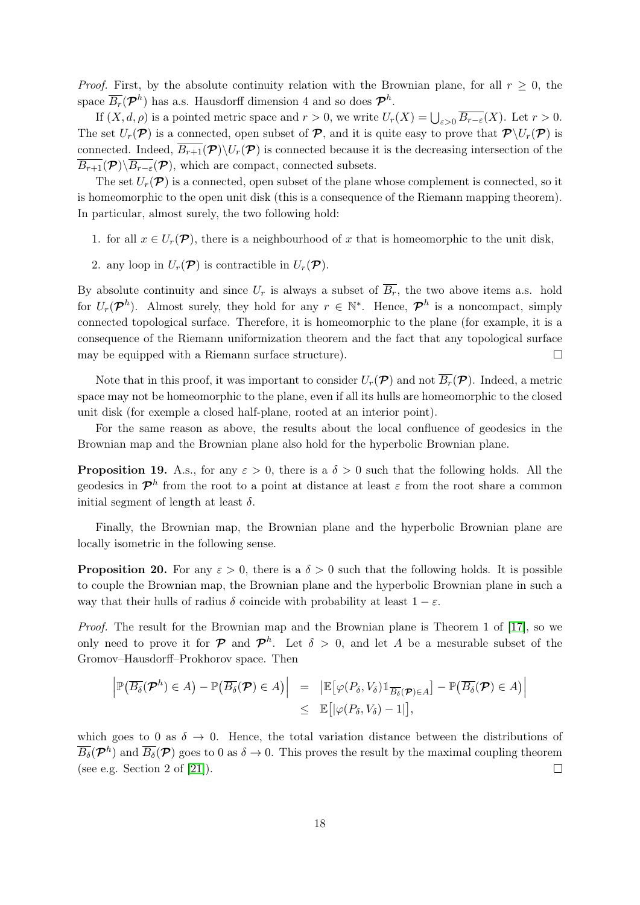*Proof.* First, by the absolute continuity relation with the Brownian plane, for all  $r \geq 0$ , the space  $\overline{B_r}(\mathcal{P}^h)$  has a.s. Hausdorff dimension 4 and so does  $\mathcal{P}^h$ .

If  $(X, d, \rho)$  is a pointed metric space and  $r > 0$ , we write  $U_r(X) = \bigcup_{\varepsilon > 0} \overline{B_{r-\varepsilon}}(X)$ . Let  $r > 0$ . The set  $U_r(\mathcal{P})$  is a connected, open subset of  $\mathcal{P}$ , and it is quite easy to prove that  $\mathcal{P}\setminus U_r(\mathcal{P})$  is connected. Indeed,  $\overline{B_{r+1}(\mathcal{P})}\setminus U_r(\mathcal{P})$  is connected because it is the decreasing intersection of the  $\overline{B_{r+1}}(\mathcal{P})\backslash\overline{B_{r-\varepsilon}}(\mathcal{P})$ , which are compact, connected subsets.

The set  $U_r(\mathcal{P})$  is a connected, open subset of the plane whose complement is connected, so it is homeomorphic to the open unit disk (this is a consequence of the Riemann mapping theorem). In particular, almost surely, the two following hold:

- 1. for all  $x \in U_r(\mathcal{P})$ , there is a neighbourhood of x that is homeomorphic to the unit disk,
- 2. any loop in  $U_r(\mathcal{P})$  is contractible in  $U_r(\mathcal{P})$ .

By absolute continuity and since  $U_r$  is always a subset of  $\overline{B_r}$ , the two above items a.s. hold for  $U_r(\mathcal{P}^h)$ . Almost surely, they hold for any  $r \in \mathbb{N}^*$ . Hence,  $\mathcal{P}^h$  is a noncompact, simply connected topological surface. Therefore, it is homeomorphic to the plane (for example, it is a consequence of the Riemann uniformization theorem and the fact that any topological surface may be equipped with a Riemann surface structure).  $\Box$ 

Note that in this proof, it was important to consider  $U_r(\mathcal{P})$  and not  $\overline{B_r}(\mathcal{P})$ . Indeed, a metric space may not be homeomorphic to the plane, even if all its hulls are homeomorphic to the closed unit disk (for exemple a closed half-plane, rooted at an interior point).

For the same reason as above, the results about the local confluence of geodesics in the Brownian map and the Brownian plane also hold for the hyperbolic Brownian plane.

**Proposition 19.** A.s., for any  $\varepsilon > 0$ , there is a  $\delta > 0$  such that the following holds. All the geodesics in  $\mathcal{P}^h$  from the root to a point at distance at least  $\varepsilon$  from the root share a common initial segment of length at least  $\delta$ .

Finally, the Brownian map, the Brownian plane and the hyperbolic Brownian plane are locally isometric in the following sense.

**Proposition 20.** For any  $\varepsilon > 0$ , there is a  $\delta > 0$  such that the following holds. It is possible to couple the Brownian map, the Brownian plane and the hyperbolic Brownian plane in such a way that their hulls of radius  $\delta$  coincide with probability at least  $1 - \varepsilon$ .

Proof. The result for the Brownian map and the Brownian plane is Theorem 1 of [\[17\]](#page-33-0), so we only need to prove it for  $\mathcal P$  and  $\mathcal P^h$ . Let  $\delta > 0$ , and let A be a mesurable subset of the Gromov–Hausdorff–Prokhorov space. Then

$$
\left| \mathbb{P}(\overline{B_{\delta}}(\mathcal{P}^h) \in A) - \mathbb{P}(\overline{B_{\delta}}(\mathcal{P}) \in A) \right| = \left| \mathbb{E}[\varphi(P_{\delta}, V_{\delta}) \mathbb{1}_{\overline{B_{\delta}}(\mathcal{P}) \in A}] - \mathbb{P}(\overline{B_{\delta}}(\mathcal{P}) \in A) \right|
$$
  

$$
\leq \mathbb{E}[\varphi(P_{\delta}, V_{\delta}) - 1],
$$

which goes to 0 as  $\delta \to 0$ . Hence, the total variation distance between the distributions of  $\overline{B_\delta}(\mathcal{P}^h)$  and  $\overline{B_\delta}(\mathcal{P})$  goes to 0 as  $\delta \to 0$ . This proves the result by the maximal coupling theorem (see e.g. Section 2 of [\[21\]](#page-33-17)).  $\Box$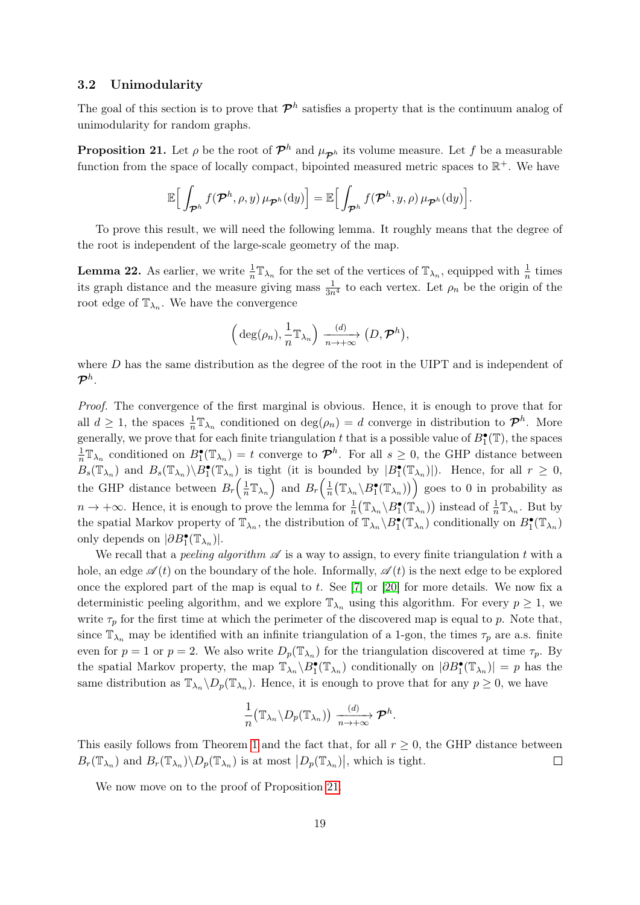#### <span id="page-18-0"></span>3.2 Unimodularity

The goal of this section is to prove that  $\mathcal{P}^h$  satisfies a property that is the continuum analog of unimodularity for random graphs.

<span id="page-18-1"></span>**Proposition 21.** Let  $\rho$  be the root of  $\mathcal{P}^h$  and  $\mu_{\mathcal{P}^h}$  its volume measure. Let f be a measurable function from the space of locally compact, bipointed measured metric spaces to  $\mathbb{R}^+$ . We have

$$
\mathbb{E}\Big[\int_{\mathcal{P}^h}f(\mathcal{P}^h,\rho,y)\,\mu_{\mathcal{P}^h}(\mathrm{d}y)\Big]=\mathbb{E}\Big[\int_{\mathcal{P}^h}f(\mathcal{P}^h,y,\rho)\,\mu_{\mathcal{P}^h}(\mathrm{d}y)\Big].
$$

To prove this result, we will need the following lemma. It roughly means that the degree of the root is independent of the large-scale geometry of the map.

<span id="page-18-2"></span>**Lemma 22.** As earlier, we write  $\frac{1}{n} \mathbb{T}_{\lambda_n}$  for the set of the vertices of  $\mathbb{T}_{\lambda_n}$ , equipped with  $\frac{1}{n}$  times its graph distance and the measure giving mass  $\frac{1}{3n^4}$  to each vertex. Let  $\rho_n$  be the origin of the root edge of  $\mathbb{T}_{\lambda_n}$ . We have the convergence

$$
\left(\,\deg(\rho_n),\frac{1}{n}\mathbb{T}_{\lambda_n}\right)\xrightarrow[n\to+\infty]{(d)} (D,\mathcal{P}^h),
$$

where  $D$  has the same distribution as the degree of the root in the UIPT and is independent of  $\bm{\mathcal{P}}^h$  .

Proof. The convergence of the first marginal is obvious. Hence, it is enough to prove that for all  $d \geq 1$ , the spaces  $\frac{1}{n} \mathbb{T}_{\lambda_n}$  conditioned on  $\deg(\rho_n) = d$  converge in distribution to  $\mathcal{P}^h$ . More generally, we prove that for each finite triangulation t that is a possible value of  $B_1^{\bullet}(\mathbb{T})$ , the spaces 1  $\frac{1}{n} \mathbb{T}_{\lambda_n}$  conditioned on  $B_1^{\bullet}(\mathbb{T}_{\lambda_n}) = t$  converge to  $\mathcal{P}^h$ . For all  $s \geq 0$ , the GHP distance between  $B_s(\mathbb{T}_{\lambda_n})$  and  $B_s(\mathbb{T}_{\lambda_n})\setminus B_1^{\bullet}(\mathbb{T}_{\lambda_n})$  is tight (it is bounded by  $|B_1^{\bullet}(\mathbb{T}_{\lambda_n})|$ ). Hence, for all  $r \geq 0$ , the GHP distance between  $B_r\left(\frac{1}{n}\right)$  $\frac{1}{n} \mathbb{T}_{\lambda_n}$  and  $B_r\left(\frac{1}{n}\right)$  $\frac{1}{n}(\mathbb{T}_{\lambda_n} \setminus B_1^{\bullet}(\mathbb{T}_{\lambda_n}))$  goes to 0 in probability as  $n \to +\infty$ . Hence, it is enough to prove the lemma for  $\frac{1}{n} (\mathbb{T}_{\lambda_n} \setminus B_1^{\bullet}(\mathbb{T}_{\lambda_n}))$  instead of  $\frac{1}{n} \mathbb{T}_{\lambda_n}$ . But by the spatial Markov property of  $\mathbb{T}_{\lambda_n}$ , the distribution of  $\mathbb{T}_{\lambda_n} \setminus B_1^{\bullet}(\mathbb{T}_{\lambda_n})$  conditionally on  $B_1^{\bullet}(\mathbb{T}_{\lambda_n})$ only depends on  $|\partial B_1^{\bullet}(\mathbb{T}_{\lambda_n})|$ .

We recall that a *peeling algorithm*  $\mathscr A$  is a way to assign, to every finite triangulation t with a hole, an edge  $\mathscr{A}(t)$  on the boundary of the hole. Informally,  $\mathscr{A}(t)$  is the next edge to be explored once the explored part of the map is equal to t. See  $[7]$  or  $[20]$  for more details. We now fix a deterministic peeling algorithm, and we explore  $\mathbb{T}_{\lambda_n}$  using this algorithm. For every  $p \geq 1$ , we write  $\tau_p$  for the first time at which the perimeter of the discovered map is equal to p. Note that, since  $\mathbb{T}_{\lambda_n}$  may be identified with an infinite triangulation of a 1-gon, the times  $\tau_p$  are a.s. finite even for  $p = 1$  or  $p = 2$ . We also write  $D_p(\mathbb{T}_{\lambda_n})$  for the triangulation discovered at time  $\tau_p$ . By the spatial Markov property, the map  $\mathbb{T}_{\lambda_n} \setminus B_1^{\bullet}(\mathbb{T}_{\lambda_n})$  conditionally on  $|\partial B_1^{\bullet}(\mathbb{T}_{\lambda_n})| = p$  has the same distribution as  $\mathbb{T}_{\lambda_n} \setminus D_p(\mathbb{T}_{\lambda_n})$ . Hence, it is enough to prove that for any  $p \geq 0$ , we have

$$
\frac{1}{n} \big( \mathbb{T}_{\lambda_n} \backslash D_p(\mathbb{T}_{\lambda_n}) \big) \xrightarrow[n \to +\infty]{(d)} \mathcal{P}^h.
$$

This easily follows from Theorem [1](#page-1-3) and the fact that, for all  $r \geq 0$ , the GHP distance between  $B_r(\mathbb{T}_{\lambda_n})$  and  $B_r(\mathbb{T}_{\lambda_n})\backslash D_p(\mathbb{T}_{\lambda_n})$  is at most  $|D_p(\mathbb{T}_{\lambda_n})|$ , which is tight.  $\Box$ 

We now move on to the proof of Proposition [21.](#page-18-1)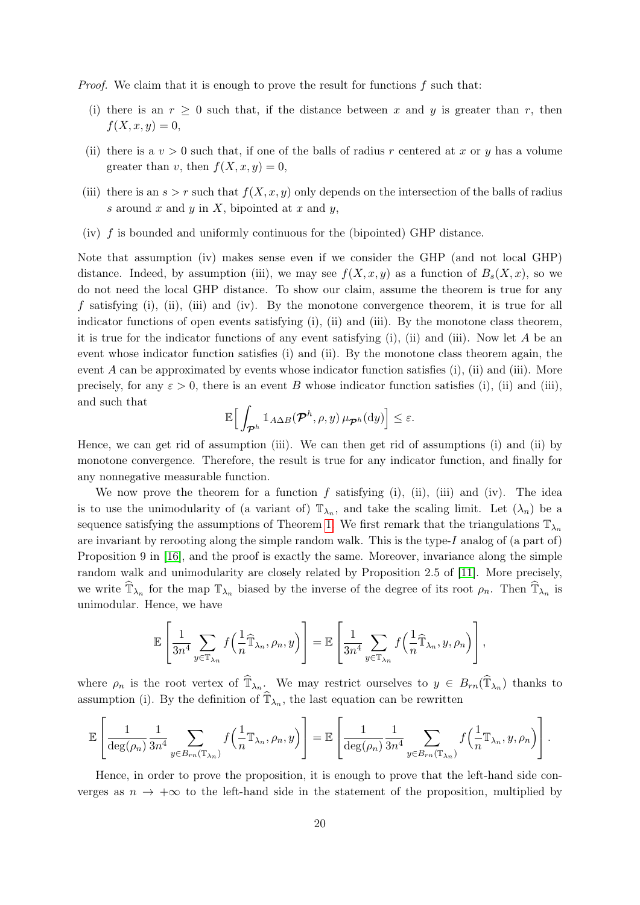*Proof.* We claim that it is enough to prove the result for functions  $f$  such that:

- (i) there is an  $r \geq 0$  such that, if the distance between x and y is greater than r, then  $f(X, x, y) = 0,$
- (ii) there is a  $v > 0$  such that, if one of the balls of radius r centered at x or y has a volume greater than v, then  $f(X, x, y) = 0$ ,
- (iii) there is an  $s > r$  such that  $f(X, x, y)$  only depends on the intersection of the balls of radius s around x and y in X, bipointed at x and y,
- (iv)  $f$  is bounded and uniformly continuous for the (bipointed) GHP distance.

Note that assumption (iv) makes sense even if we consider the GHP (and not local GHP) distance. Indeed, by assumption (iii), we may see  $f(X, x, y)$  as a function of  $B_s(X, x)$ , so we do not need the local GHP distance. To show our claim, assume the theorem is true for any f satisfying (i), (ii), (iii) and (iv). By the monotone convergence theorem, it is true for all indicator functions of open events satisfying (i), (ii) and (iii). By the monotone class theorem, it is true for the indicator functions of any event satisfying (i), (ii) and (iii). Now let  $A$  be an event whose indicator function satisfies (i) and (ii). By the monotone class theorem again, the event  $A$  can be approximated by events whose indicator function satisfies (i), (ii) and (iii). More precisely, for any  $\varepsilon > 0$ , there is an event B whose indicator function satisfies (i), (ii) and (iii), and such that

$$
\mathbb{E}\Big[\int_{\boldsymbol{\mathcal{P}}^h}\mathbb{1}_{A\Delta B}(\boldsymbol{\mathcal{P}}^h,\rho,y)\,\mu_{\boldsymbol{\mathcal{P}}^h}(\textup{d} y)\Big]\leq\varepsilon.
$$

Hence, we can get rid of assumption (iii). We can then get rid of assumptions (i) and (ii) by monotone convergence. Therefore, the result is true for any indicator function, and finally for any nonnegative measurable function.

We now prove the theorem for a function  $f$  satisfying (i), (ii), (iii) and (iv). The idea is to use the unimodularity of (a variant of)  $\mathbb{T}_{\lambda_n}$ , and take the scaling limit. Let  $(\lambda_n)$  be a sequence satisfying the assumptions of Theorem [1.](#page-1-3) We first remark that the triangulations  $\mathbb{T}_{\lambda_n}$ are invariant by rerooting along the simple random walk. This is the type-I analog of (a part of) Proposition 9 in [\[16\]](#page-32-0), and the proof is exactly the same. Moreover, invariance along the simple random walk and unimodularity are closely related by Proposition 2.5 of [\[11\]](#page-32-14). More precisely, we write  $\widehat{\mathbb{T}}_{\lambda_n}$  for the map  $\mathbb{T}_{\lambda_n}$  biased by the inverse of the degree of its root  $\rho_n$ . Then  $\widehat{\mathbb{T}}_{\lambda_n}$  is unimodular. Hence, we have

$$
\mathbb{E}\left[\frac{1}{3n^4} \sum_{y \in \mathbb{T}_{\lambda_n}} f\left(\frac{1}{n} \widehat{\mathbb{T}}_{\lambda_n}, \rho_n, y\right)\right] = \mathbb{E}\left[\frac{1}{3n^4} \sum_{y \in \mathbb{T}_{\lambda_n}} f\left(\frac{1}{n} \widehat{\mathbb{T}}_{\lambda_n}, y, \rho_n\right)\right],
$$

where  $\rho_n$  is the root vertex of  $\widehat{\mathbb{T}}_{\lambda_n}$ . We may restrict ourselves to  $y \in B_{rn}(\widehat{\mathbb{T}}_{\lambda_n})$  thanks to assumption (i). By the definition of  $\widehat{\mathbb{T}}_{\lambda_n}$ , the last equation can be rewritten

$$
\mathbb{E}\left[\frac{1}{\deg(\rho_n)}\frac{1}{3n^4} \sum_{y\in B_{rn}(\mathbb{T}_{\lambda_n})} f\left(\frac{1}{n}\mathbb{T}_{\lambda_n}, \rho_n, y\right)\right] = \mathbb{E}\left[\frac{1}{\deg(\rho_n)}\frac{1}{3n^4} \sum_{y\in B_{rn}(\mathbb{T}_{\lambda_n})} f\left(\frac{1}{n}\mathbb{T}_{\lambda_n}, y, \rho_n\right)\right].
$$

Hence, in order to prove the proposition, it is enough to prove that the left-hand side converges as  $n \to +\infty$  to the left-hand side in the statement of the proposition, multiplied by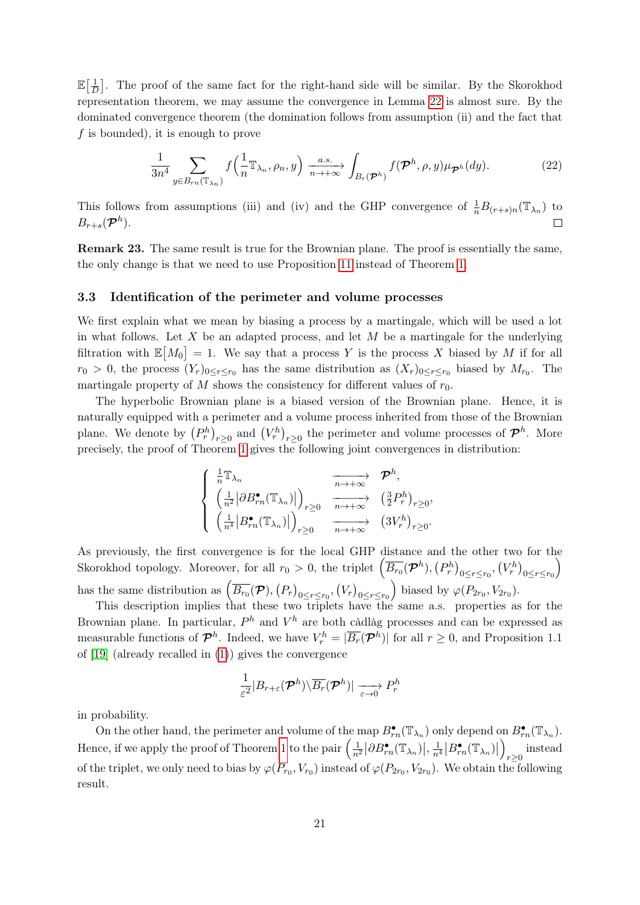$\mathbb{E}[\frac{1}{\tau}]$  $\frac{1}{D}$ . The proof of the same fact for the right-hand side will be similar. By the Skorokhod representation theorem, we may assume the convergence in Lemma [22](#page-18-2) is almost sure. By the dominated convergence theorem (the domination follows from assumption (ii) and the fact that  $f$  is bounded), it is enough to prove

$$
\frac{1}{3n^4} \sum_{y \in B_{rn}(\mathbb{T}_{\lambda_n})} f\left(\frac{1}{n} \mathbb{T}_{\lambda_n}, \rho_n, y\right) \xrightarrow[n \to +\infty]{a.s.} \int_{B_r(\mathcal{P}^h)} f(\mathcal{P}^h, \rho, y) \mu_{\mathcal{P}^h}(dy).
$$
 (22)

This follows from assumptions (iii) and (iv) and the GHP convergence of  $\frac{1}{n}B_{(r+s)n}(\mathbb{T}_{\lambda_n})$  to  $B_{r+s}(\boldsymbol{\mathcal{P}}^h).$  $\Box$ 

Remark 23. The same result is true for the Brownian plane. The proof is essentially the same, the only change is that we need to use Proposition [11](#page-9-2) instead of Theorem [1.](#page-1-3)

#### <span id="page-20-0"></span>3.3 Identification of the perimeter and volume processes

We first explain what we mean by biasing a process by a martingale, which will be used a lot in what follows. Let X be an adapted process, and let  $M$  be a martingale for the underlying filtration with  $\mathbb{E}[M_0] = 1$ . We say that a process Y is the process X biased by M if for all  $r_0 > 0$ , the process  $(Y_r)_{0 \leq r \leq r_0}$  has the same distribution as  $(X_r)_{0 \leq r \leq r_0}$  biased by  $M_{r_0}$ . The martingale property of M shows the consistency for different values of  $r_0$ .

The hyperbolic Brownian plane is a biased version of the Brownian plane. Hence, it is naturally equipped with a perimeter and a volume process inherited from those of the Brownian plane. We denote by  $(P_r^h)_{r\geq 0}$  and  $(V_r^h)_{r\geq 0}$  the perimeter and volume processes of  $\mathcal{P}^h$ . More precisely, the proof of Theorem [1](#page-1-3) gives the following joint convergences in distribution:

$$
\begin{cases} \frac{1}{n} \mathbb{T}_{\lambda_n} & \xrightarrow[n \to +\infty]{} \mathcal{P}^h, \\ \left( \frac{1}{n^2} \big| \partial B_{rn}^{\bullet}(\mathbb{T}_{\lambda_n}) \big| \right)_{r \geq 0} & \xrightarrow[n \to +\infty]{} \left( \frac{3}{2} P_r^h \right)_{r \geq 0}, \\ \left( \frac{1}{n^4} \big| B_{rn}^{\bullet}(\mathbb{T}_{\lambda_n}) \big| \right)_{r \geq 0} & \xrightarrow[n \to +\infty]{} \left( 3V_r^h \right)_{r \geq 0}. \end{cases}
$$

As previously, the first convergence is for the local GHP distance and the other two for the Skorokhod topology. Moreover, for all  $r_0 > 0$ , the triplet  $(\overline{B_{r_0}}(\mathcal{P}^h), (P_r^h)_{0 \leq r \leq r_0}, (V_r^h)_{0 \leq r \leq r_0}$  $\setminus$ has the same distribution as  $\left(\overline{B_{r_0}}(\mathcal{P}), (P_r)_{0 \leq r \leq r_0}, (V_r)_{0 \leq r \leq r_0}\right)$ ) biased by  $\varphi(P_{2r_0}, V_{2r_0})$ .

This description implies that these two triplets have the same a.s. properties as for the Brownian plane. In particular,  $P<sup>h</sup>$  and  $V<sup>h</sup>$  are both càdlàg processes and can be expressed as measurable functions of  $\mathcal{P}^h$ . Indeed, we have  $V_r^h = |\overline{B_r}(\mathcal{P}^h)|$  for all  $r \geq 0$ , and Proposition 1.1 of [\[19\]](#page-33-1) (already recalled in [\(1\)](#page-1-4)) gives the convergence

$$
\frac{1}{\varepsilon^2}|B_{r+\varepsilon}(\boldsymbol{\mathcal{P}}^h)\backslash\overline{B_r}(\boldsymbol{\mathcal{P}}^h)|\xrightarrow[\varepsilon\to 0]{}P^h_r
$$

in probability.

On the other hand, the perimeter and volume of the map  $B_{rn}^{\bullet}(\mathbb{T}_{\lambda_n})$  only depend on  $B_{rn}^{\bullet}(\mathbb{T}_{\lambda_n})$ . Hence, if we apply the proof of Theorem [1](#page-1-3) to the pair  $\left(\frac{1}{n^2} \left| \partial B_{rn}^{\bullet}(\mathbb{T}_{\lambda_n}) \right|, \frac{1}{n^4} \left| B_{rn}^{\bullet}(\mathbb{T}_{\lambda_n}) \right|$  $\setminus$ r≥0 instead of the triplet, we only need to bias by  $\varphi(P_{r_0}, V_{r_0})$  instead of  $\varphi(P_{2r_0}, V_{2r_0})$ . We obtain the following result.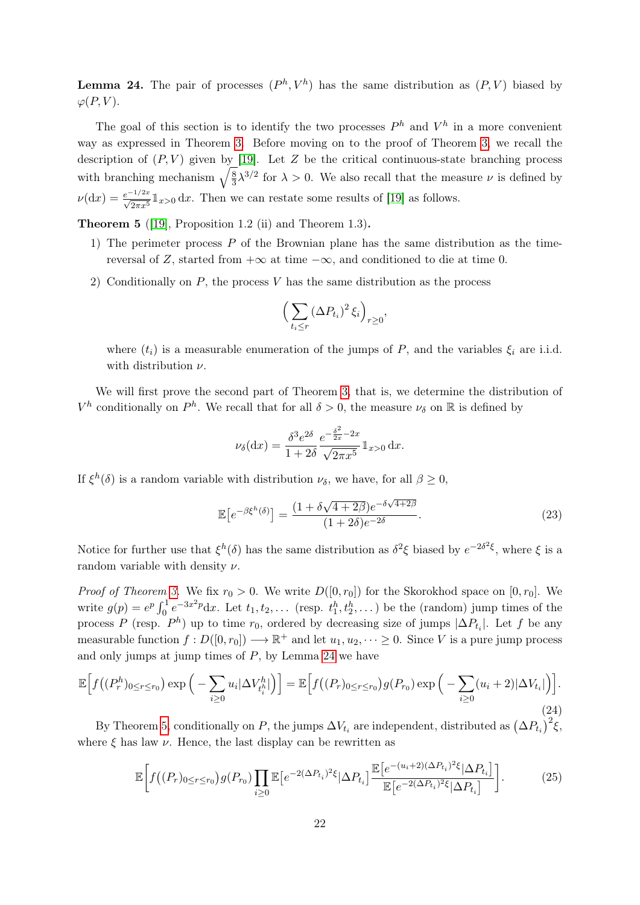<span id="page-21-0"></span>**Lemma 24.** The pair of processes  $(P^h, V^h)$  has the same distribution as  $(P, V)$  biased by  $\varphi(P, V)$ .

The goal of this section is to identify the two processes  $P<sup>h</sup>$  and  $V<sup>h</sup>$  in a more convenient way as expressed in Theorem [3.](#page-3-0) Before moving on to the proof of Theorem [3,](#page-3-0) we recall the description of  $(P, V)$  given by [\[19\]](#page-33-1). Let Z be the critical continuous-state branching process with branching mechanism  $\sqrt{\frac{8}{3}}$  $\frac{8}{3}\lambda^{3/2}$  for  $\lambda > 0$ . We also recall that the measure  $\nu$  is defined by  $\nu(\mathrm{d}x) = \frac{e^{-1/2x}}{\sqrt{2\pi x^5}} \mathbb{1}_{x>0} \, \mathrm{d}x$ . Then we can restate some results of [\[19\]](#page-33-1) as follows.

<span id="page-21-1"></span>**Theorem 5** ([\[19\]](#page-33-1), Proposition 1.2 (ii) and Theorem 1.3).

- 1) The perimeter process  $P$  of the Brownian plane has the same distribution as the timereversal of Z, started from  $+\infty$  at time  $-\infty$ , and conditioned to die at time 0.
- 2) Conditionally on  $P$ , the process  $V$  has the same distribution as the process

$$
\left(\sum_{t_i\leq r} (\Delta P_{t_i})^2 \,\xi_i\right)_{r\geq 0},
$$

where  $(t_i)$  is a measurable enumeration of the jumps of P, and the variables  $\xi_i$  are i.i.d. with distribution  $\nu$ .

We will first prove the second part of Theorem [3,](#page-3-0) that is, we determine the distribution of  $V^h$  conditionally on  $P^h$ . We recall that for all  $\delta > 0$ , the measure  $\nu_{\delta}$  on  $\mathbb R$  is defined by

$$
\nu_{\delta}(\mathrm{d}x) = \frac{\delta^3 e^{2\delta}}{1 + 2\delta} \frac{e^{-\frac{\delta^2}{2x} - 2x}}{\sqrt{2\pi x^5}} 1_{x > 0} \,\mathrm{d}x.
$$

If  $\xi^h(\delta)$  is a random variable with distribution  $\nu_{\delta}$ , we have, for all  $\beta \geq 0$ ,

<span id="page-21-2"></span>
$$
\mathbb{E}\left[e^{-\beta\xi^h(\delta)}\right] = \frac{(1+\delta\sqrt{4+2\beta})e^{-\delta\sqrt{4+2\beta}}}{(1+2\delta)e^{-2\delta}}.
$$
\n(23)

Notice for further use that  $\xi^h(\delta)$  has the same distribution as  $\delta^2 \xi$  biased by  $e^{-2\delta^2 \xi}$ , where  $\xi$  is a random variable with density  $\nu$ .

*Proof of Theorem [3.](#page-3-0)* We fix  $r_0 > 0$ . We write  $D([0, r_0])$  for the Skorokhod space on  $[0, r_0]$ . We write  $g(p) = e^p \int_0^1 e^{-3x^2 p} dx$ . Let  $t_1, t_2, \ldots$  (resp.  $t_1^h, t_2^h, \ldots$ ) be the (random) jump times of the process P (resp.  $P^h$ ) up to time  $r_0$ , ordered by decreasing size of jumps  $|\Delta P_{t_i}|$ . Let f be any measurable function  $f: D([0, r_0]) \longrightarrow \mathbb{R}^+$  and let  $u_1, u_2, \dots \ge 0$ . Since V is a pure jump process and only jumps at jump times of  $P$ , by Lemma [24](#page-21-0) we have

$$
\mathbb{E}\Big[f\big((P_r^h)_{0\leq r\leq r_0}\big)\exp\Big(-\sum_{i\geq 0}u_i|\Delta V_{t_i^h}^h|\Big)\Big] = \mathbb{E}\Big[f\big((P_r)_{0\leq r\leq r_0}\big)g(P_{r_0})\exp\Big(-\sum_{i\geq 0}(u_i+2)|\Delta V_{t_i}|\Big)\Big].\tag{24}
$$

By Theorem [5,](#page-21-1) conditionally on P, the jumps  $\Delta V_{t_i}$  are independent, distributed as  $(\Delta P_{t_i})^2 \xi$ , where  $\xi$  has law  $\nu$ . Hence, the last display can be rewritten as

<span id="page-21-3"></span>
$$
\mathbb{E}\bigg[f\big((P_r)_{0\leq r\leq r_0}\big)g(P_{r_0})\prod_{i\geq 0}\mathbb{E}\big[e^{-2(\Delta P_{t_i})^2\xi}|\Delta P_{t_i}]\frac{\mathbb{E}\big[e^{-(u_i+2)(\Delta P_{t_i})^2\xi}|\Delta P_{t_i}\big]}{\mathbb{E}\big[e^{-2(\Delta P_{t_i})^2\xi}|\Delta P_{t_i}\big]}\bigg].\tag{25}
$$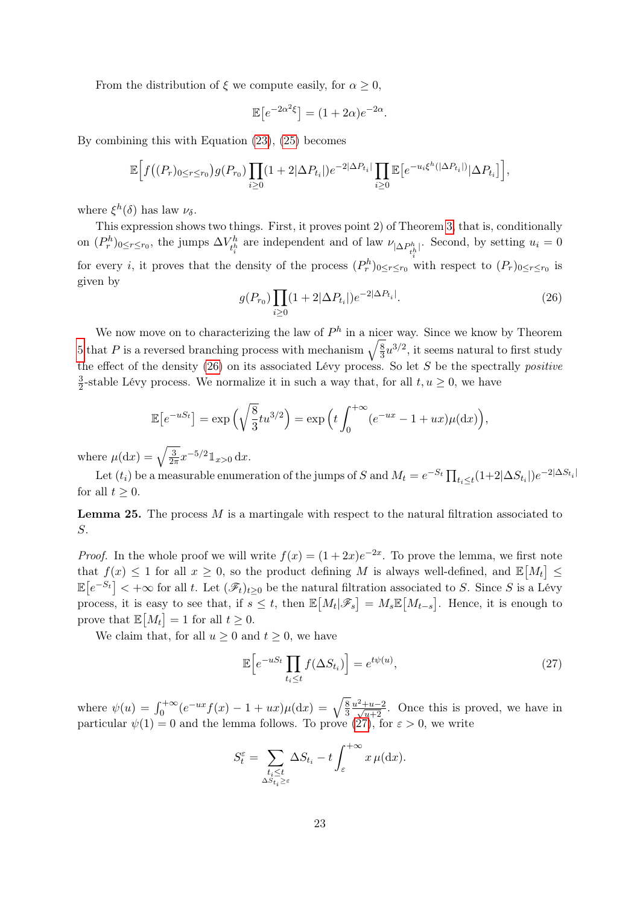From the distribution of  $\xi$  we compute easily, for  $\alpha \geq 0$ ,

$$
\mathbb{E}\left[e^{-2\alpha^2\xi}\right] = (1+2\alpha)e^{-2\alpha}.
$$

By combining this with Equation [\(23\)](#page-21-2), [\(25\)](#page-21-3) becomes

$$
\mathbb{E}\Big[f\big((P_r)_{0\leq r\leq r_0}\big)g(P_{r_0})\prod_{i\geq 0}(1+2|\Delta P_{t_i}|)e^{-2|\Delta P_{t_i}|}\prod_{i\geq 0}\mathbb{E}\big[e^{-u_i\xi^h(|\Delta P_{t_i}|)}|\Delta P_{t_i}\big]\Big],
$$

where  $\xi^h(\delta)$  has law  $\nu_{\delta}$ .

This expression shows two things. First, it proves point 2) of Theorem [3,](#page-3-0) that is, conditionally on  $(P_r^h)_{0 \leq r \leq r_0}$ , the jumps  $\Delta V_{t^h}^h$ <sup>*th*</sup> are independent and of law  $\nu_{|\Delta P_{t_i^h}^h|}$ . Second, by setting  $u_i = 0$ for every *i*, it proves that the density of the process  $(P_r^h)_{0 \leq r \leq r_0}$  with respect to  $(P_r)_{0 \leq r \leq r_0}$  is given by

<span id="page-22-0"></span>
$$
g(P_{r_0}) \prod_{i \ge 0} (1 + 2|\Delta P_{t_i}|) e^{-2|\Delta P_{t_i}|}.
$$
\n(26)

We now move on to characterizing the law of  $P<sup>h</sup>$  in a nicer way. Since we know by Theorem [5](#page-21-1) that P is a reversed branching process with mechanism  $\sqrt{\frac{8}{3}}$  $\frac{8}{3}u^{3/2}$ , it seems natural to first study the effect of the density  $(26)$  on its associated Lévy process. So let S be the spectrally *positive* 3  $\frac{3}{2}$ -stable Lévy process. We normalize it in such a way that, for all  $t, u \geq 0$ , we have

$$
\mathbb{E}\left[e^{-uS_t}\right] = \exp\left(\sqrt{\frac{8}{3}}tu^{3/2}\right) = \exp\left(t\int_0^{+\infty} (e^{-ux} - 1 + ux)\mu(\mathrm{d}x)\right),
$$

where  $\mu(\mathrm{d}x) = \sqrt{\frac{3}{2a}}$  $\frac{3}{2\pi}x^{-5/2}1_{x>0} dx.$ 

Let  $(t_i)$  be a measurable enumeration of the jumps of S and  $M_t = e^{-S_t} \prod_{t_i \leq t} (1+2|\Delta S_{t_i}|)e^{-2|\Delta S_{t_i}|}$ for all  $t \geq 0$ .

Lemma 25. The process M is a martingale with respect to the natural filtration associated to S.

*Proof.* In the whole proof we will write  $f(x) = (1 + 2x)e^{-2x}$ . To prove the lemma, we first note that  $f(x) \leq 1$  for all  $x \geq 0$ , so the product defining M is always well-defined, and  $\mathbb{E}[M_t] \leq$  $\mathbb{E}[e^{-S_t}] < +\infty$  for all t. Let  $(\mathscr{F}_t)_{t\geq 0}$  be the natural filtration associated to S. Since S is a Lévy process, it is easy to see that, if  $s \leq t$ , then  $\mathbb{E}[M_t|\mathscr{F}_s] = M_s \mathbb{E}[M_{t-s}]$ . Hence, it is enough to prove that  $\mathbb{E}[M_t] = 1$  for all  $t \geq 0$ .

We claim that, for all  $u \geq 0$  and  $t \geq 0$ , we have

<span id="page-22-1"></span>
$$
\mathbb{E}\Big[e^{-uS_t}\prod_{t_i\leq t}f(\Delta S_{t_i})\Big] = e^{t\psi(u)},\tag{27}
$$

where  $\psi(u) = \int_0^{+\infty} (e^{-ux} f(x) - 1 + ux) \mu(\mathrm{d}x) = \sqrt{\frac{8}{3}}$  $rac{8}{3} \frac{u^2+u-2}{\sqrt{u+2}}$ . Once this is proved, we have in particular  $\psi(1) = 0$  and the lemma follows. To prove [\(27\)](#page-22-1), for  $\varepsilon > 0$ , we write

$$
S_t^{\varepsilon} = \sum_{\substack{t_i \le t \\ \Delta S_{t_i} \ge \varepsilon}} \Delta S_{t_i} - t \int_{\varepsilon}^{+\infty} x \,\mu(\mathrm{d}x).
$$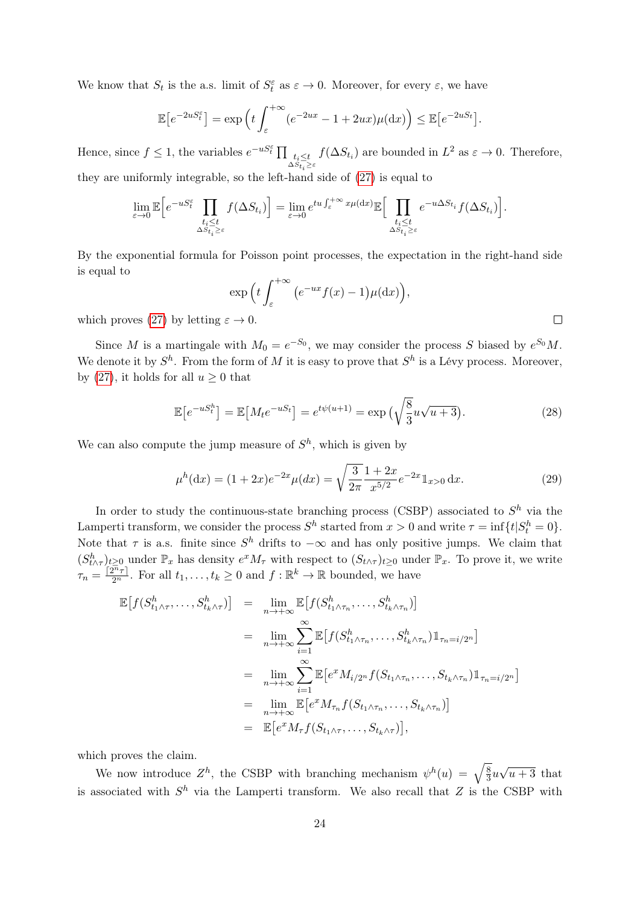We know that  $S_t$  is the a.s. limit of  $S_t^{\varepsilon}$  as  $\varepsilon \to 0$ . Moreover, for every  $\varepsilon$ , we have

$$
\mathbb{E}\left[e^{-2uS_t^{\varepsilon}}\right] = \exp\left(t \int_{\varepsilon}^{+\infty} (e^{-2ux} - 1 + 2ux)\mu(\mathrm{d}x)\right) \le \mathbb{E}\left[e^{-2uS_t}\right].
$$

Hence, since  $f \leq 1$ , the variables  $e^{-uS_t^{\varepsilon}} \prod_{t_i \leq t}$  $t_i \leq t \n\leq S_{t_i} \leq \text{for some } t_i \leq t}$  are bounded in  $L^2$  as  $\varepsilon \to 0$ . Therefore, they are uniformly integrable, so the left-hand side of [\(27\)](#page-22-1) is equal to

$$
\lim_{\varepsilon \to 0} \mathbb{E} \Big[ e^{-uS_t^{\varepsilon}} \prod_{\substack{t_i \le t \\ \Delta S_{t_i} \ge \varepsilon}} f(\Delta S_{t_i}) \Big] = \lim_{\varepsilon \to 0} e^{tu \int_{\varepsilon}^{+\infty} x \mu(\mathrm{d}x)} \mathbb{E} \Big[ \prod_{\substack{t_i \le t \\ \Delta S_{t_i} \ge \varepsilon}} e^{-u\Delta S_{t_i}} f(\Delta S_{t_i}) \Big].
$$

By the exponential formula for Poisson point processes, the expectation in the right-hand side is equal to

$$
\exp\left(t\int_{\varepsilon}^{+\infty} \left(e^{-ux}f(x)-1\right)\mu(\mathrm{d}x)\right),\right. \n\mapsto 0.
$$

which proves [\(27\)](#page-22-1) by letting  $\varepsilon \to 0$ .

Since M is a martingale with  $M_0 = e^{-S_0}$ , we may consider the process S biased by  $e^{S_0}M$ . We denote it by  $S^h$ . From the form of M it is easy to prove that  $S^h$  is a Lévy process. Moreover, by [\(27\)](#page-22-1), it holds for all  $u \geq 0$  that

<span id="page-23-0"></span>
$$
\mathbb{E}\left[e^{-uS_t^h}\right] = \mathbb{E}\left[M_t e^{-uS_t}\right] = e^{t\psi(u+1)} = \exp\left(\sqrt{\frac{8}{3}}u\sqrt{u+3}\right). \tag{28}
$$

We can also compute the jump measure of  $S<sup>h</sup>$ , which is given by

<span id="page-23-1"></span>
$$
\mu^h(\mathrm{d}x) = (1+2x)e^{-2x}\mu(dx) = \sqrt{\frac{3}{2\pi}} \frac{1+2x}{x^{5/2}} e^{-2x} \mathbb{1}_{x>0} \,\mathrm{d}x. \tag{29}
$$

In order to study the continuous-state branching process (CSBP) associated to  $S<sup>h</sup>$  via the Lamperti transform, we consider the process  $S^h$  started from  $x > 0$  and write  $\tau = \inf\{t | S_t^h = 0\}.$ Note that  $\tau$  is a.s. finite since  $S^h$  drifts to  $-\infty$  and has only positive jumps. We claim that  $(S_{t\wedge\tau}^h)_{t\geq0}$  under  $\mathbb{P}_x$  has density  $e^xM_\tau$  with respect to  $(S_{t\wedge\tau})_{t\geq0}$  under  $\mathbb{P}_x$ . To prove it, we write  $\tau_n = \frac{[2^n \tau]}{2^n}$ . For all  $t_1, \ldots, t_k \geq 0$  and  $f : \mathbb{R}^k \to \mathbb{R}$  bounded, we have

$$
\mathbb{E}\left[f(S_{t_1\wedge\tau}^h,\ldots,S_{t_k\wedge\tau}^h)\right] = \lim_{n\to+\infty} \mathbb{E}\left[f(S_{t_1\wedge\tau_n}^h,\ldots,S_{t_k\wedge\tau_n}^h)\right]
$$
  
\n
$$
= \lim_{n\to+\infty} \sum_{i=1}^{\infty} \mathbb{E}\left[f(S_{t_1\wedge\tau_n}^h,\ldots,S_{t_k\wedge\tau_n}^h)\mathbb{1}_{\tau_n=i/2^n}\right]
$$
  
\n
$$
= \lim_{n\to+\infty} \sum_{i=1}^{\infty} \mathbb{E}\left[e^x M_{i/2^n} f(S_{t_1\wedge\tau_n},\ldots,S_{t_k\wedge\tau_n})\mathbb{1}_{\tau_n=i/2^n}\right]
$$
  
\n
$$
= \lim_{n\to+\infty} \mathbb{E}\left[e^x M_{\tau_n} f(S_{t_1\wedge\tau_n},\ldots,S_{t_k\wedge\tau_n})\right]
$$
  
\n
$$
= \mathbb{E}\left[e^x M_{\tau} f(S_{t_1\wedge\tau},\ldots,S_{t_k\wedge\tau})\right],
$$

which proves the claim.

We now introduce  $Z^h$ , the CSBP with branching mechanism  $\psi^h(u) = \sqrt{\frac{8}{3}}$  $rac{8}{3}u$ √  $u + 3$  that is associated with  $S<sup>h</sup>$  via the Lamperti transform. We also recall that Z is the CSBP with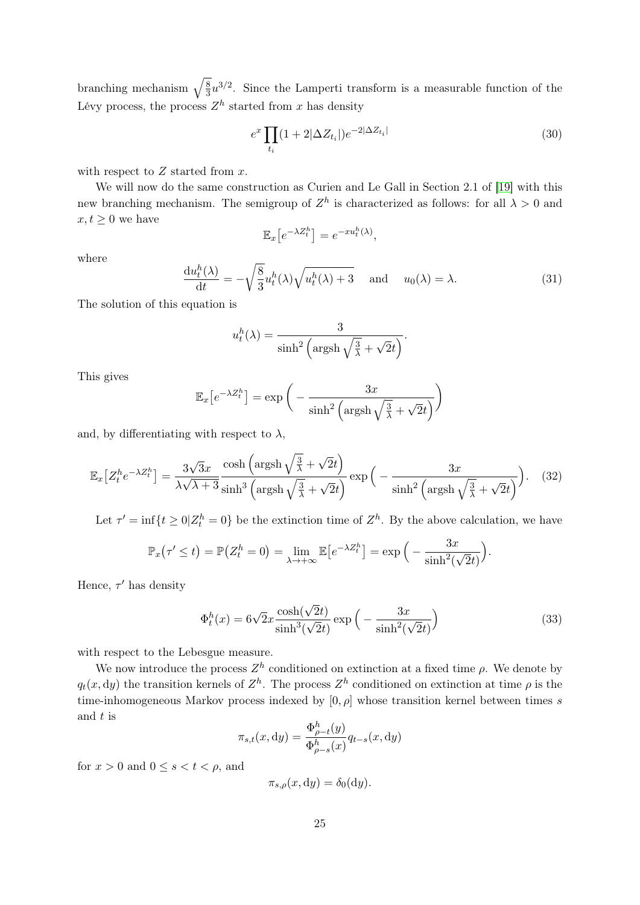branching mechanism  $\sqrt{\frac{8}{3}}$  $\frac{8}{3}u^{3/2}$ . Since the Lamperti transform is a measurable function of the Lévy process, the process  $Z<sup>h</sup>$  started from x has density

<span id="page-24-0"></span>
$$
e^x \prod_{t_i} (1+2|\Delta Z_{t_i}|) e^{-2|\Delta Z_{t_i}|} \tag{30}
$$

with respect to  $Z$  started from  $x$ .

We will now do the same construction as Curien and Le Gall in Section 2.1 of [\[19\]](#page-33-1) with this new branching mechanism. The semigroup of  $Z<sup>h</sup>$  is characterized as follows: for all  $\lambda > 0$  and  $x, t \geq 0$  we have

$$
\mathbb{E}_x\big[e^{-\lambda Z_t^h}\big] = e^{-xu_t^h(\lambda)},
$$

where

$$
\frac{\mathrm{d}u_t^h(\lambda)}{\mathrm{d}t} = -\sqrt{\frac{8}{3}}u_t^h(\lambda)\sqrt{u_t^h(\lambda) + 3} \quad \text{and} \quad u_0(\lambda) = \lambda. \tag{31}
$$

The solution of this equation is

$$
u_t^h(\lambda) = \frac{3}{\sinh^2\left(\operatorname{argsh}\sqrt{\frac{3}{\lambda}} + \sqrt{2}t\right)}.
$$

This gives

$$
\mathbb{E}_x \left[ e^{-\lambda Z_t^h} \right] = \exp \left( -\frac{3x}{\sinh^2 \left( \operatorname{argsh} \sqrt{\frac{3}{\lambda}} + \sqrt{2}t \right)} \right)
$$

and, by differentiating with respect to  $\lambda$ ,

<span id="page-24-2"></span>
$$
\mathbb{E}_x \left[ Z_t^h e^{-\lambda Z_t^h} \right] = \frac{3\sqrt{3}x}{\lambda\sqrt{\lambda+3}} \frac{\cosh\left(\operatorname{argsh}\sqrt{\frac{3}{\lambda}} + \sqrt{2}t\right)}{\sinh^3\left(\operatorname{argsh}\sqrt{\frac{3}{\lambda}} + \sqrt{2}t\right)} \exp\left(-\frac{3x}{\sinh^2\left(\operatorname{argsh}\sqrt{\frac{3}{\lambda}} + \sqrt{2}t\right)}\right). \tag{32}
$$

Let  $\tau' = \inf\{t \geq 0 | Z_t^h = 0\}$  be the extinction time of  $Z^h$ . By the above calculation, we have

$$
\mathbb{P}_x(\tau' \leq t) = \mathbb{P}\big(Z_t^h = 0\big) = \lim_{\lambda \to +\infty} \mathbb{E}\big[e^{-\lambda Z_t^h}\big] = \exp\Big(-\frac{3x}{\sinh^2(\sqrt{2}t)}\Big).
$$

Hence,  $\tau'$  has density

<span id="page-24-1"></span>
$$
\Phi_t^h(x) = 6\sqrt{2}x \frac{\cosh(\sqrt{2}t)}{\sinh^3(\sqrt{2}t)} \exp\left(-\frac{3x}{\sinh^2(\sqrt{2}t)}\right)
$$
(33)

with respect to the Lebesgue measure.

We now introduce the process  $Z<sup>h</sup>$  conditioned on extinction at a fixed time  $\rho$ . We denote by  $q_t(x, dy)$  the transition kernels of  $Z^h$ . The process  $Z^h$  conditioned on extinction at time  $\rho$  is the time-inhomogeneous Markov process indexed by  $[0, \rho]$  whose transition kernel between times s and t is

$$
\pi_{s,t}(x, \mathrm{d}y) = \frac{\Phi_{\rho-t}^h(y)}{\Phi_{\rho-s}^h(x)} q_{t-s}(x, \mathrm{d}y)
$$

for  $x > 0$  and  $0 \le s < t < \rho$ , and

$$
\pi_{s,\rho}(x,\mathrm{d}y)=\delta_0(\mathrm{d}y).
$$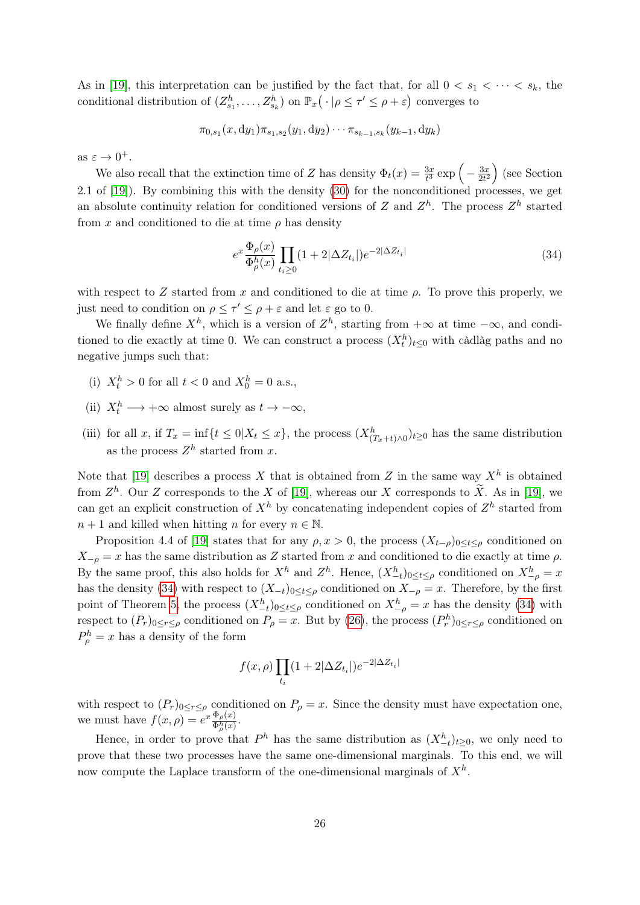As in [\[19\]](#page-33-1), this interpretation can be justified by the fact that, for all  $0 < s_1 < \cdots < s_k$ , the conditional distribution of  $(Z_{s_1}^h, \ldots, Z_{s_k}^h)$  on  $\mathbb{P}_x(\cdot | \rho \leq \tau' \leq \rho + \varepsilon)$  converges to

$$
\pi_{0,s_1}(x,\mathrm{d}y_1)\pi_{s_1,s_2}(y_1,\mathrm{d}y_2)\cdots\pi_{s_{k-1},s_k}(y_{k-1},\mathrm{d}y_k)
$$

as  $\varepsilon \to 0^+$ .

We also recall that the extinction time of Z has density  $\Phi_t(x) = \frac{3x}{t^3} \exp\left(-\frac{3x}{2t^2}\right)$  $\frac{3x}{2t^2}$  (see Section 2.1 of [\[19\]](#page-33-1)). By combining this with the density [\(30\)](#page-24-0) for the nonconditioned processes, we get an absolute continuity relation for conditioned versions of Z and  $Z<sup>h</sup>$ . The process  $Z<sup>h</sup>$  started from x and conditioned to die at time  $\rho$  has density

<span id="page-25-0"></span>
$$
e^x \frac{\Phi_\rho(x)}{\Phi_\rho^h(x)} \prod_{t_i \ge 0} (1 + 2|\Delta Z_{t_i}|) e^{-2|\Delta Z_{t_i}|} \tag{34}
$$

with respect to Z started from x and conditioned to die at time  $\rho$ . To prove this properly, we just need to condition on  $\rho \leq \tau' \leq \rho + \varepsilon$  and let  $\varepsilon$  go to 0.

We finally define  $X^h$ , which is a version of  $Z^h$ , starting from  $+\infty$  at time  $-\infty$ , and conditioned to die exactly at time 0. We can construct a process  $(X_t^h)_{t\leq 0}$  with càdlàg paths and no negative jumps such that:

- (i)  $X_t^h > 0$  for all  $t < 0$  and  $X_0^h = 0$  a.s.,
- (ii)  $X_t^h \longrightarrow +\infty$  almost surely as  $t \to -\infty$ ,
- (iii) for all x, if  $T_x = \inf\{t \leq 0 | X_t \leq x\}$ , the process  $(X_{(T_x+t)\wedge 0}^h)_{t\geq 0}$  has the same distribution as the process  $Z<sup>h</sup>$  started from x.

Note that [\[19\]](#page-33-1) describes a process X that is obtained from Z in the same way  $X^h$  is obtained from  $Z^h$ . Our Z corresponds to the X of [\[19\]](#page-33-1), whereas our X corresponds to  $\widetilde{X}$ . As in [19], we can get an explicit construction of  $X^h$  by concatenating independent copies of  $Z^h$  started from  $n + 1$  and killed when hitting n for every  $n \in \mathbb{N}$ .

Proposition 4.4 of [\[19\]](#page-33-1) states that for any  $\rho$ ,  $x > 0$ , the process  $(X_{t-\rho})_{0 \leq t \leq \rho}$  conditioned on  $X_{-\rho} = x$  has the same distribution as Z started from x and conditioned to die exactly at time  $\rho$ . By the same proof, this also holds for  $X^h$  and  $Z^h$ . Hence,  $(X_{-t}^h)_{0 \le t \le \rho}$  conditioned on  $X_{-\rho}^h = x$ has the density [\(34\)](#page-25-0) with respect to  $(X_{-t})_{0\leq t\leq\rho}$  conditioned on  $X_{-\rho}=x$ . Therefore, by the first point of Theorem [5,](#page-21-1) the process  $(X_{-t}^h)_{0 \le t \le \rho}$  conditioned on  $X_{-\rho}^h = x$  has the density [\(34\)](#page-25-0) with respect to  $(P_r)_{0 \leq r \leq \rho}$  conditioned on  $P_\rho = x$ . But by [\(26\)](#page-22-0), the process  $(P_r^h)_{0 \leq r \leq \rho}$  conditioned on  $P_{\rho}^{h} = x$  has a density of the form

$$
f(x,\rho)\prod_{t_i}(1+2|\Delta Z_{t_i}|)e^{-2|\Delta Z_{t_i}|}
$$

with respect to  $(P_r)_{0 \leq r \leq \rho}$  conditioned on  $P_\rho = x$ . Since the density must have expectation one, we must have  $f(x, \rho) = e^x \frac{\Phi_\rho(x)}{\Phi_h(x)}$  $\frac{\Psi_{\rho}(x)}{\Phi_{\rho}^h(x)}$ .

Hence, in order to prove that  $P^h$  has the same distribution as  $(X_{-t}^h)_{t\geq0}$ , we only need to prove that these two processes have the same one-dimensional marginals. To this end, we will now compute the Laplace transform of the one-dimensional marginals of  $X^h$ .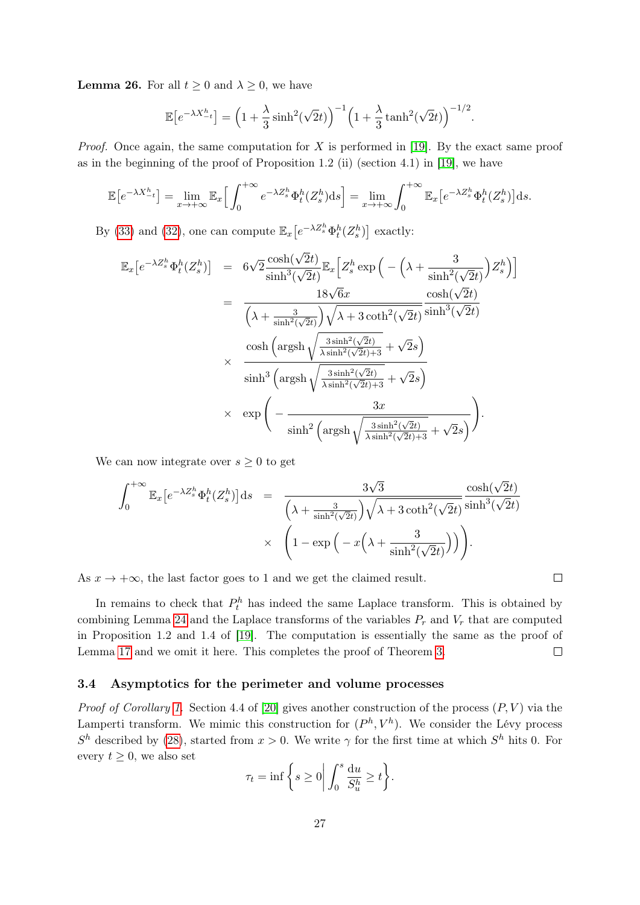**Lemma 26.** For all  $t \geq 0$  and  $\lambda \geq 0$ , we have

$$
\mathbb{E}\left[e^{-\lambda X_{-t}^h}\right] = \left(1 + \frac{\lambda}{3}\sinh^2(\sqrt{2}t)\right)^{-1} \left(1 + \frac{\lambda}{3}\tanh^2(\sqrt{2}t)\right)^{-1/2}.
$$

*Proof.* Once again, the same computation for X is performed in [\[19\]](#page-33-1). By the exact same proof as in the beginning of the proof of Proposition 1.2 (ii) (section 4.1) in [\[19\]](#page-33-1), we have

$$
\mathbb{E}\left[e^{-\lambda X_{-t}^h}\right] = \lim_{x \to +\infty} \mathbb{E}_x \Big[ \int_0^{+\infty} e^{-\lambda Z_s^h} \Phi_t^h(Z_s^h) \, ds \Big] = \lim_{x \to +\infty} \int_0^{+\infty} \mathbb{E}_x \Big[ e^{-\lambda Z_s^h} \Phi_t^h(Z_s^h) \Big] \, ds.
$$

By [\(33\)](#page-24-1) and [\(32\)](#page-24-2), one can compute  $\mathbb{E}_x\left[e^{-\lambda Z_s^h}\Phi_t^h(Z_s^h)\right]$  exactly:

$$
\mathbb{E}_{x}\left[e^{-\lambda Z_{s}^{h}}\Phi_{t}^{h}(Z_{s}^{h})\right] = 6\sqrt{2}\frac{\cosh(\sqrt{2}t)}{\sinh^{3}(\sqrt{2}t)}\mathbb{E}_{x}\left[Z_{s}^{h}\exp\left(-\left(\lambda + \frac{3}{\sinh^{2}(\sqrt{2}t)}\right)Z_{s}^{h}\right)\right]
$$
\n
$$
= \frac{18\sqrt{6}x}{\left(\lambda + \frac{3}{\sinh^{2}(\sqrt{2}t)}\right)\sqrt{\lambda + 3\coth^{2}(\sqrt{2}t)}\sinh^{3}(\sqrt{2}t)}
$$
\n
$$
\frac{\cosh\left(\operatorname{argsh}\sqrt{\frac{3\sinh^{2}(\sqrt{2}t)}{\lambda\sinh^{2}(\sqrt{2}t)+3}} + \sqrt{2}s\right)}{\sinh^{3}\left(\operatorname{argsh}\sqrt{\frac{3\sinh^{2}(\sqrt{2}t)}{\lambda\sinh^{2}(\sqrt{2}t)+3}} + \sqrt{2}s\right)}
$$
\n
$$
\times \exp\left(-\frac{3x}{\sinh^{2}\left(\operatorname{argsh}\sqrt{\frac{3\sinh^{2}(\sqrt{2}t)}{\lambda\sinh^{2}(\sqrt{2}t)+3}} + \sqrt{2}s\right)}\right).
$$

We can now integrate over  $s \geq 0$  to get

$$
\int_0^{+\infty} \mathbb{E}_x \left[ e^{-\lambda Z_s^h} \Phi_t^h(Z_s^h) \right] ds = \frac{3\sqrt{3}}{\left(\lambda + \frac{3}{\sinh^2(\sqrt{2}t)}\right) \sqrt{\lambda + 3 \coth^2(\sqrt{2}t)} } \frac{\cosh(\sqrt{2}t)}{\sinh^3(\sqrt{2}t)} \times \left(1 - \exp\left(-x\left(\lambda + \frac{3}{\sinh^2(\sqrt{2}t)}\right)\right)\right).
$$

As  $x \to +\infty$ , the last factor goes to 1 and we get the claimed result.

In remains to check that  $P_t^h$  has indeed the same Laplace transform. This is obtained by combining Lemma [24](#page-21-0) and the Laplace transforms of the variables  $P_r$  and  $V_r$  that are computed in Proposition 1.2 and 1.4 of [\[19\]](#page-33-1). The computation is essentially the same as the proof of Lemma [17](#page-14-1) and we omit it here. This completes the proof of Theorem [3.](#page-3-0)  $\Box$ 

#### <span id="page-26-0"></span>3.4 Asymptotics for the perimeter and volume processes

*Proof of Corollary [1.](#page-3-1)* Section 4.4 of [\[20\]](#page-33-7) gives another construction of the process  $(P, V)$  via the Lamperti transform. We mimic this construction for  $(P^h, V^h)$ . We consider the Lévy process  $S<sup>h</sup>$  described by [\(28\)](#page-23-0), started from  $x > 0$ . We write  $\gamma$  for the first time at which  $S<sup>h</sup>$  hits 0. For every  $t \geq 0$ , we also set

$$
\tau_t = \inf \left\{ s \ge 0 \bigg| \int_0^s \frac{\mathrm{d}u}{S_u^h} \ge t \right\}.
$$

 $\Box$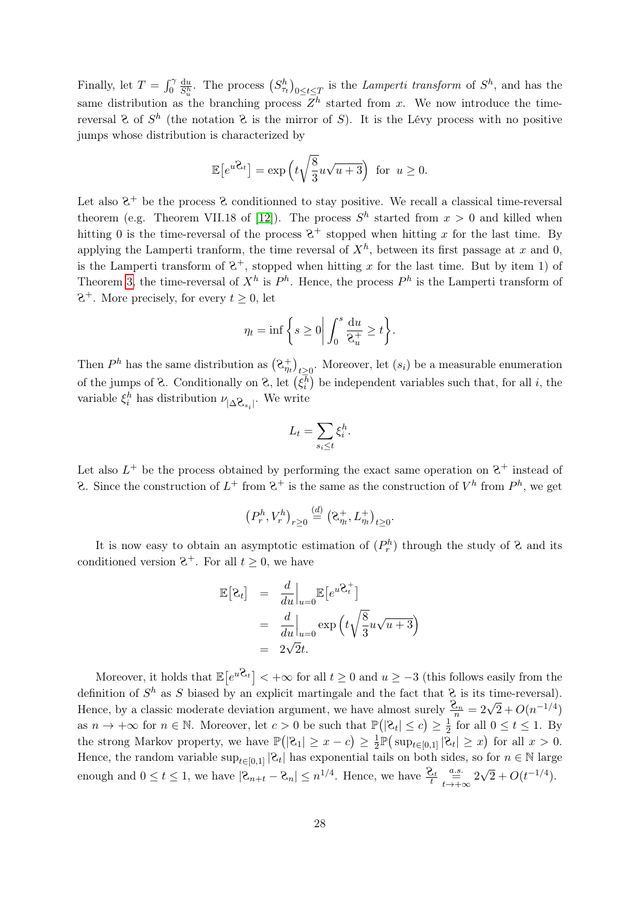Finally, let  $T = \int_0^{\gamma}$  $\frac{du}{S_n^h}$ . The process  $(S_{\tau_t}^h)_{0 \le t \le T}$  is the *Lamperti transform* of  $S^h$ , and has the same distribution as the branching process  $Z^h$  started from x. We now introduce the timereversal  $\mathcal{E}$  of  $S^h$  (the notation  $\mathcal{E}$  is the mirror of S). It is the Lévy process with no positive jumps whose distribution is characterized by

$$
\mathbb{E}\left[e^{u\mathcal{Z}_t}\right] = \exp\left(t\sqrt{\frac{8}{3}}u\sqrt{u+3}\right) \text{ for } u \ge 0.
$$

Let also  $2^+$  be the process  $2$  conditionned to stay positive. We recall a classical time-reversal theorem (e.g. Theorem VII.18 of [\[12\]](#page-32-15)). The process  $S<sup>h</sup>$  started from  $x > 0$  and killed when hitting 0 is the time-reversal of the process  $2^+$  stopped when hitting x for the last time. By applying the Lamperti tranform, the time reversal of  $X<sup>h</sup>$ , between its first passage at x and 0, is the Lamperti transform of  $\mathcal{Z}^+$ , stopped when hitting x for the last time. But by item 1) of Theorem [3,](#page-3-0) the time-reversal of  $X^h$  is  $P^h$ . Hence, the process  $P^h$  is the Lamperti transform of  $8^+$ . More precisely, for every  $t \geq 0$ , let

$$
\eta_t = \inf \bigg\{ s \ge 0 \bigg| \int_0^s \frac{\mathrm{d}u}{\mathrm{e}_u^+} \ge t \bigg\}.
$$

Then  $P^h$  has the same distribution as  $(\lambda_{\eta_t}^+)_{t\geq 0}$ . Moreover, let  $(s_i)$  be a measurable enumeration of the jumps of  $\mathcal{E}$ . Conditionally on  $\mathcal{E}$ , let  $(\xi_i^h)$  be independent variables such that, for all i, the variable  $\xi_i^h$  has distribution  $\nu_{|\Delta \mathbf{Q}_{s_i}|}$ . We write

$$
L_t = \sum_{s_i \leq t} \xi_i^h.
$$

Let also  $L^+$  be the process obtained by performing the exact same operation on  $S^+$  instead of 2. Since the construction of  $L^+$  from  $\mathcal{C}^+$  is the same as the construction of  $V^h$  from  $P^h$ , we get

$$
(P_r^h, V_r^h)_{r \geq 0} \stackrel{(d)}{=} (\mathcal{C}_{\eta_t}^+, L_{\eta_t}^+)_{t \geq 0}.
$$

It is now easy to obtain an asymptotic estimation of  $(P_r^h)$  through the study of  $\mathcal{R}$  and its conditioned version  $\mathcal{C}^+$ . For all  $t \geq 0$ , we have

$$
\mathbb{E}\left[\mathcal{E}_t\right] = \frac{d}{du}\Big|_{u=0} \mathbb{E}\left[e^{u\mathcal{E}_t^+}\right]
$$

$$
= \frac{d}{du}\Big|_{u=0} \exp\left(t\sqrt{\frac{8}{3}}u\sqrt{u+3}\right)
$$

$$
= 2\sqrt{2}t.
$$

Moreover, it holds that  $\mathbb{E}[e^{u\mathcal{Z}_t}] < +\infty$  for all  $t \geq 0$  and  $u \geq -3$  (this follows easily from the definition of  $S^h$  as S biased by an explicit martingale and the fact that  $\mathcal{C}$  is its time-reversal). Hence, by a classic moderate deviation argument, we have almost surely  $\frac{\mathcal{Q}_n}{n} = 2\sqrt{2} + O(n^{-1/4})$ as  $n \to +\infty$  for  $n \in \mathbb{N}$ . Moreover, let  $c > 0$  be such that  $\mathbb{P}(|\mathcal{C}_t| \leq c) \geq \frac{1}{2}$  $\frac{1}{2}$  for all  $0 \le t \le 1$ . By the strong Markov property, we have  $\mathbb{P}(|2_1| \geq x - c) \geq \frac{1}{2}$  $\frac{1}{2}\mathbb{P}(\text{sup}_{t\in[0,1]}|\mathcal{Z}_t|\geq x)$  for all  $x>0$ . Hence, the random variable  $\sup_{t\in[0,1]} |C_t|$  has exponential tails on both sides, so for  $n \in \mathbb{N}$  large enough and  $0 \le t \le 1$ , we have  $|\mathcal{E}_{n+t} - \mathcal{E}_n| \le n^{1/4}$ . Hence, we have  $\frac{\mathcal{E}_t}{t} \underset{t \to +\infty}{\overset{a.s.}{\longrightarrow}} 2$ √  $\sqrt{2} + O(t^{-1/4}).$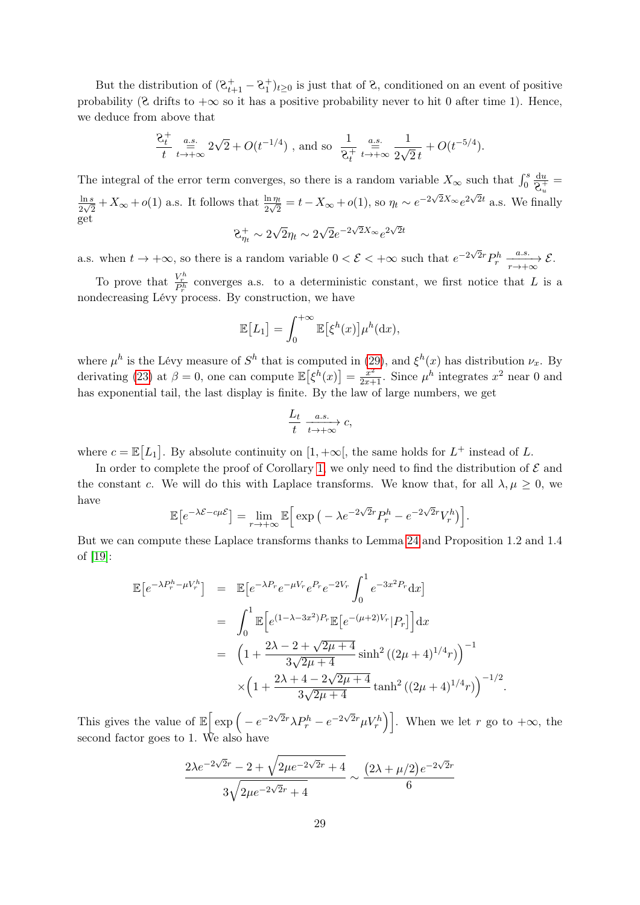But the distribution of  $(8^+_{t+1} - 8^+_{t})_{t \geq 0}$  is just that of 8, conditioned on an event of positive probability ( $\&$  drifts to  $+\infty$  so it has a positive probability never to hit 0 after time 1). Hence, we deduce from above that

$$
\frac{2t}{t} \stackrel{a.s.}{=} 2\sqrt{2} + O(t^{-1/4})
$$
, and so  $\frac{1}{2t} \stackrel{a.s.}{=} \frac{1}{2\sqrt{2}t} + O(t^{-5/4}).$ 

The integral of the error term converges, so there is a random variable  $X_{\infty}$  such that  $\int_0^s$ du  $\frac{d u}{d \Theta^+_{u}} =$  $ln s$  $\frac{\ln s}{2\sqrt{2}}+X_{\infty}+o(1)$  a.s. It follows that  $\frac{\ln \eta_t}{2\sqrt{2}}=t-X_{\infty}+o(1)$ , so  $\eta_t \sim e^{-2\sqrt{2}X_{\infty}}e^{2\sqrt{2}t}$  a.s. We finally get √ √ √ √

$$
8^+_{\eta_t} \sim 2\sqrt{2}\eta_t \sim 2\sqrt{2}e^{-2\sqrt{2}X_{\infty}}e^{2\sqrt{2}t}
$$

a.s. when  $t \to +\infty$ , so there is a random variable  $0 < \mathcal{E} < +\infty$  such that  $e^{-2\sqrt{2}r}P_r^h \xrightarrow[r \to +\infty]{a.s.} \mathcal{E}$ .

To prove that  $\frac{V_r^h}{P_r^h}$  converges a.s. to a deterministic constant, we first notice that L is a nondecreasing Lévy process. By construction, we have

$$
\mathbb{E}[L_1] = \int_0^{+\infty} \mathbb{E}[\xi^h(x)] \mu^h(\mathrm{d}x),
$$

where  $\mu^h$  is the Lévy measure of  $S^h$  that is computed in [\(29\)](#page-23-1), and  $\xi^h(x)$  has distribution  $\nu_x$ . By derivating [\(23\)](#page-21-2) at  $\beta = 0$ , one can compute  $\mathbb{E}[\xi^h(x)] = \frac{x^2}{2x+1}$ . Since  $\mu^h$  integrates  $x^2$  near 0 and has exponential tail, the last display is finite. By the law of large numbers, we get

$$
\frac{L_t}{t} \xrightarrow[t \to +\infty]{a.s.} c,
$$

where  $c = \mathbb{E}[L_1]$ . By absolute continuity on  $[1, +\infty]$ , the same holds for  $L^+$  instead of L.

In order to complete the proof of Corollary [1,](#page-3-1) we only need to find the distribution of  $\mathcal E$  and the constant c. We will do this with Laplace transforms. We know that, for all  $\lambda, \mu \geq 0$ , we have

$$
\mathbb{E}\left[e^{-\lambda \mathcal{E} - c\mu \mathcal{E}}\right] = \lim_{r \to +\infty} \mathbb{E}\left[\exp\left(-\lambda e^{-2\sqrt{2}r} P_r^h - e^{-2\sqrt{2}r} V_r^h\right)\right].
$$

But we can compute these Laplace transforms thanks to Lemma [24](#page-21-0) and Proposition 1.2 and 1.4 of [\[19\]](#page-33-1):

$$
\mathbb{E}\left[e^{-\lambda P_r^h - \mu V_r^h}\right] = \mathbb{E}\left[e^{-\lambda P_r} e^{-\mu V_r} e^{P_r} e^{-2V_r} \int_0^1 e^{-3x^2 P_r} dx\right]
$$
  
\n
$$
= \int_0^1 \mathbb{E}\left[e^{(1-\lambda-3x^2)P_r} \mathbb{E}\left[e^{-(\mu+2)V_r} |P_r\right]\right] dx
$$
  
\n
$$
= \left(1 + \frac{2\lambda - 2 + \sqrt{2\mu + 4}}{3\sqrt{2\mu + 4}} \sinh^2\left((2\mu + 4)^{1/4}r\right)\right)^{-1}
$$
  
\n
$$
\times \left(1 + \frac{2\lambda + 4 - 2\sqrt{2\mu + 4}}{3\sqrt{2\mu + 4}} \tanh^2\left((2\mu + 4)^{1/4}r\right)\right)^{-1/2}.
$$

This gives the value of  $\mathbb{E} \left[ \exp \left( -e^{-2\sqrt{2}r} \lambda P_r^h - e^{-2\sqrt{2}r} \mu V_r^h \right) \right]$ . When we let r go to  $+\infty$ , the second factor goes to 1. We also have

$$
\frac{2\lambda e^{-2\sqrt{2}r} - 2 + \sqrt{2\mu e^{-2\sqrt{2}r} + 4}}{3\sqrt{2\mu e^{-2\sqrt{2}r} + 4}} \sim \frac{(2\lambda + \mu/2)e^{-2\sqrt{2}r}}{6}
$$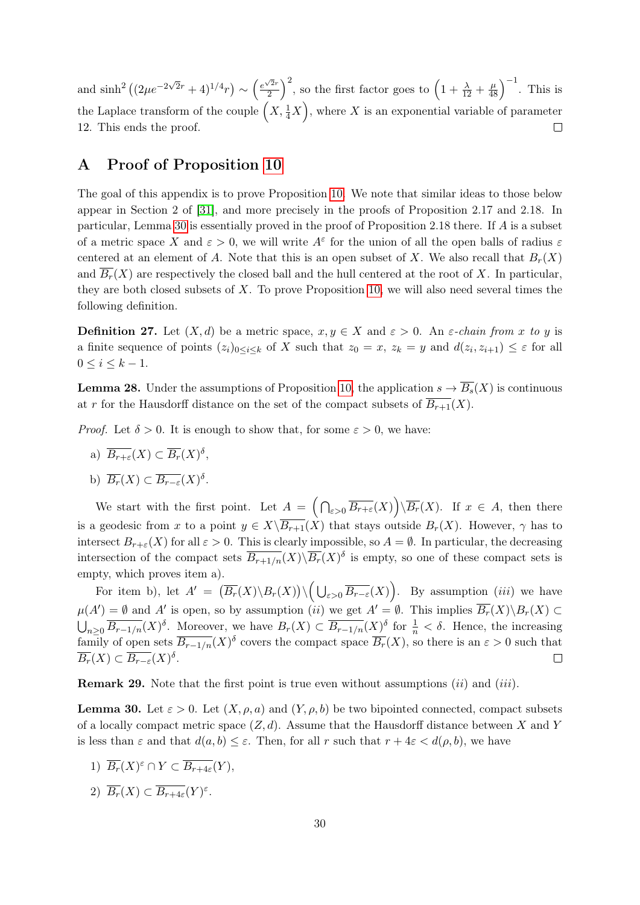and  $\sinh^2((2\mu e^{-2\sqrt{2}r}+4)^{1/4}r) \sim \left(\frac{e^{\sqrt{2}r}}{2}\right)^{1/4}$  $\left(\frac{\sqrt{2}r}{2}\right)^2$ , so the first factor goes to  $\left(1+\frac{\lambda}{12}+\frac{\mu}{48}\right)^{-1}$ . This is the Laplace transform of the couple  $(X, \frac{1}{4}X)$ , where X is an exponential variable of parameter 12. This ends the proof.  $\Box$ 

# <span id="page-29-0"></span>A Proof of Proposition [10](#page-9-0)

The goal of this appendix is to prove Proposition [10.](#page-9-0) We note that similar ideas to those below appear in Section 2 of [\[31\]](#page-33-13), and more precisely in the proofs of Proposition 2.17 and 2.18. In particular, Lemma [30](#page-29-1) is essentially proved in the proof of Proposition 2.18 there. If A is a subset of a metric space X and  $\varepsilon > 0$ , we will write  $A^{\varepsilon}$  for the union of all the open balls of radius  $\varepsilon$ centered at an element of A. Note that this is an open subset of X. We also recall that  $B_r(X)$ and  $\overline{B_r}(X)$  are respectively the closed ball and the hull centered at the root of X. In particular, they are both closed subsets of  $X$ . To prove Proposition [10,](#page-9-0) we will also need several times the following definition.

**Definition 27.** Let  $(X, d)$  be a metric space,  $x, y \in X$  and  $\varepsilon > 0$ . An  $\varepsilon$ -chain from x to y is a finite sequence of points  $(z_i)_{0 \leq i \leq k}$  of X such that  $z_0 = x$ ,  $z_k = y$  and  $d(z_i, z_{i+1}) \leq \varepsilon$  for all  $0 \leq i \leq k-1$ .

<span id="page-29-2"></span>**Lemma 28.** Under the assumptions of Proposition [10,](#page-9-0) the application  $s \to \overline{B_s}(X)$  is continuous at r for the Hausdorff distance on the set of the compact subsets of  $\overline{B_{r+1}}(X)$ .

*Proof.* Let  $\delta > 0$ . It is enough to show that, for some  $\varepsilon > 0$ , we have:

a)  $\overline{B_{r+\varepsilon}}(X) \subset \overline{B_r}(X)^{\delta},$ 

b) 
$$
\overline{B_r}(X) \subset \overline{B_{r-\varepsilon}}(X)^{\delta}
$$
.

We start with the first point. Let  $A = \left( \bigcap_{\varepsilon > 0} \overline{B_{r+\varepsilon}}(X) \right) \backslash \overline{B_r}(X)$ . If  $x \in A$ , then there is a geodesic from x to a point  $y \in X\setminus \overline{B_{r+1}}(X)$  that stays outside  $B_r(X)$ . However,  $\gamma$  has to intersect  $B_{r+\varepsilon}(X)$  for all  $\varepsilon > 0$ . This is clearly impossible, so  $A = \emptyset$ . In particular, the decreasing intersection of the compact sets  $\overline{B_{r+1/n}}(X)\backslash\overline{B_r}(X)^{\delta}$  is empty, so one of these compact sets is empty, which proves item a).

For item b), let  $A' = (\overline{B_r}(X) \setminus B_r(X)) \setminus (\bigcup_{\varepsilon > 0} \overline{B_{r-\varepsilon}}(X))$ . By assumption *(iii)* we have  $\mu(A') = \emptyset$  and A' is open, so by assumption (ii) we get  $A' = \emptyset$ . This implies  $\overline{B_r}(X) \setminus B_r(X) \subset$  $\bigcup_{n\geq 0} \overline{B_{r-1/n}}(X)^{\delta}$ . Moreover, we have  $B_r(X) \subset \overline{B_{r-1/n}}(X)^{\delta}$  for  $\frac{1}{n} < \delta$ . Hence, the increasing family of open sets  $\overline{B_{r-1/n}}(X)^{\delta}$  covers the compact space  $\overline{B_r}(X)$ , so there is an  $\varepsilon > 0$  such that  $\overline{B_r}(X) \subset \overline{B_{r-\varepsilon}}(X)^{\delta}.$  $\Box$ 

**Remark 29.** Note that the first point is true even without assumptions  $(ii)$  and  $(iii)$ .

<span id="page-29-1"></span>**Lemma 30.** Let  $\varepsilon > 0$ . Let  $(X, \rho, a)$  and  $(Y, \rho, b)$  be two bipointed connected, compact subsets of a locally compact metric space  $(Z, d)$ . Assume that the Hausdorff distance between X and Y is less than  $\varepsilon$  and that  $d(a, b) \leq \varepsilon$ . Then, for all r such that  $r + 4\varepsilon < d(\rho, b)$ , we have

- 1)  $\overline{B_r}(X)^{\varepsilon} \cap Y \subset \overline{B_{r+4\varepsilon}}(Y),$
- 2)  $\overline{B_r}(X) \subset \overline{B_{r+4\varepsilon}}(Y)^{\varepsilon}.$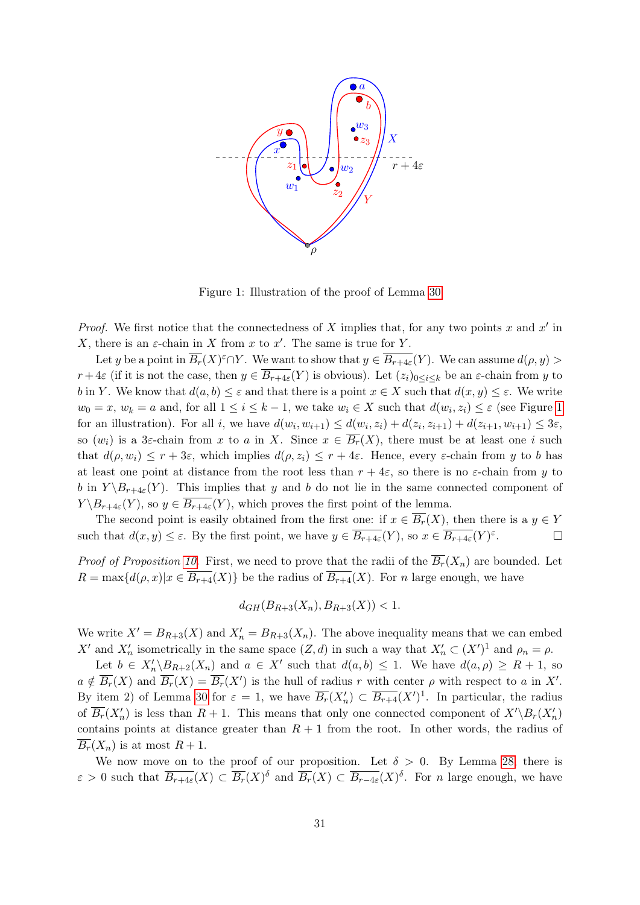

<span id="page-30-0"></span>Figure 1: Illustration of the proof of Lemma [30](#page-29-1)

*Proof.* We first notice that the connectedness of X implies that, for any two points x and  $x'$  in X, there is an  $\varepsilon$ -chain in X from x to x'. The same is true for Y.

Let y be a point in  $\overline{B_r}(X)^{\varepsilon}\cap Y$ . We want to show that  $y\in \overline{B_{r+4\varepsilon}}(Y)$ . We can assume  $d(\rho, y) >$  $r+4\varepsilon$  (if it is not the case, then  $y \in \overline{B_{r+4\varepsilon}}(Y)$  is obvious). Let  $(z_i)_{0 \leq i \leq k}$  be an  $\varepsilon$ -chain from y to b in Y. We know that  $d(a, b) \leq \varepsilon$  and that there is a point  $x \in X$  such that  $d(x, y) \leq \varepsilon$ . We write  $w_0 = x, w_k = a$  and, for all  $1 \leq i \leq k-1$ , we take  $w_i \in X$  such that  $d(w_i, z_i) \leq \varepsilon$  (see Figure [1](#page-30-0)) for an illustration). For all i, we have  $d(w_i, w_{i+1}) \le d(w_i, z_i) + d(z_i, z_{i+1}) + d(z_{i+1}, w_{i+1}) \le 3\varepsilon$ , so  $(w_i)$  is a 3 $\varepsilon$ -chain from x to a in X. Since  $x \in \overline{B_r}(X)$ , there must be at least one i such that  $d(\rho, w_i) \leq r + 3\varepsilon$ , which implies  $d(\rho, z_i) \leq r + 4\varepsilon$ . Hence, every  $\varepsilon$ -chain from y to b has at least one point at distance from the root less than  $r + 4\varepsilon$ , so there is no  $\varepsilon$ -chain from y to b in  $Y \setminus B_{r+4\varepsilon}(Y)$ . This implies that y and b do not lie in the same connected component of  $Y \setminus B_{r+4\varepsilon}(Y)$ , so  $y \in \overline{B_{r+4\varepsilon}}(Y)$ , which proves the first point of the lemma.

The second point is easily obtained from the first one: if  $x \in \overline{B_r}(X)$ , then there is a  $y \in Y$ such that  $d(x, y) \leq \varepsilon$ . By the first point, we have  $y \in \overline{B_{r+4\varepsilon}}(Y)$ , so  $x \in \overline{B_{r+4\varepsilon}}(Y)^{\varepsilon}$ .  $\Box$ 

*Proof of Proposition [10.](#page-9-0)* First, we need to prove that the radii of the  $\overline{B_r}(X_n)$  are bounded. Let  $R = \max\{d(\rho, x)|x \in \overline{B_{r+4}}(X)\}\$ be the radius of  $\overline{B_{r+4}}(X)$ . For n large enough, we have

$$
d_{GH}(B_{R+3}(X_n), B_{R+3}(X)) < 1.
$$

We write  $X' = B_{R+3}(X)$  and  $X'_n = B_{R+3}(X_n)$ . The above inequality means that we can embed X' and  $X'_n$  isometrically in the same space  $(Z, d)$  in such a way that  $X'_n \subset (X')^1$  and  $\rho_n = \rho$ .

Let  $b \in X'_n \backslash B_{R+2}(X_n)$  and  $a \in X'$  such that  $d(a, b) \leq 1$ . We have  $d(a, \rho) \geq R + 1$ , so  $a \notin \overline{B_r}(X)$  and  $\overline{B_r}(X) = \overline{B_r}(X')$  is the hull of radius r with center  $\rho$  with respect to a in X'. By item 2) of Lemma [30](#page-29-1) for  $\varepsilon = 1$ , we have  $\overline{B_r}(X'_n) \subset \overline{B_{r+4}}(X')^1$ . In particular, the radius of  $\overline{B_r}(X'_n)$  is less than  $R+1$ . This means that only one connected component of  $X'\setminus B_r(X'_n)$ contains points at distance greater than  $R + 1$  from the root. In other words, the radius of  $\overline{B_r}(X_n)$  is at most  $R+1$ .

We now move on to the proof of our proposition. Let  $\delta > 0$ . By Lemma [28,](#page-29-2) there is  $\varepsilon > 0$  such that  $\overline{B_{r+4\varepsilon}}(X) \subset \overline{B_r}(X)$ <sup>δ</sup> and  $\overline{B_r}(X) \subset \overline{B_{r-4\varepsilon}}(X)$ <sup>δ</sup>. For *n* large enough, we have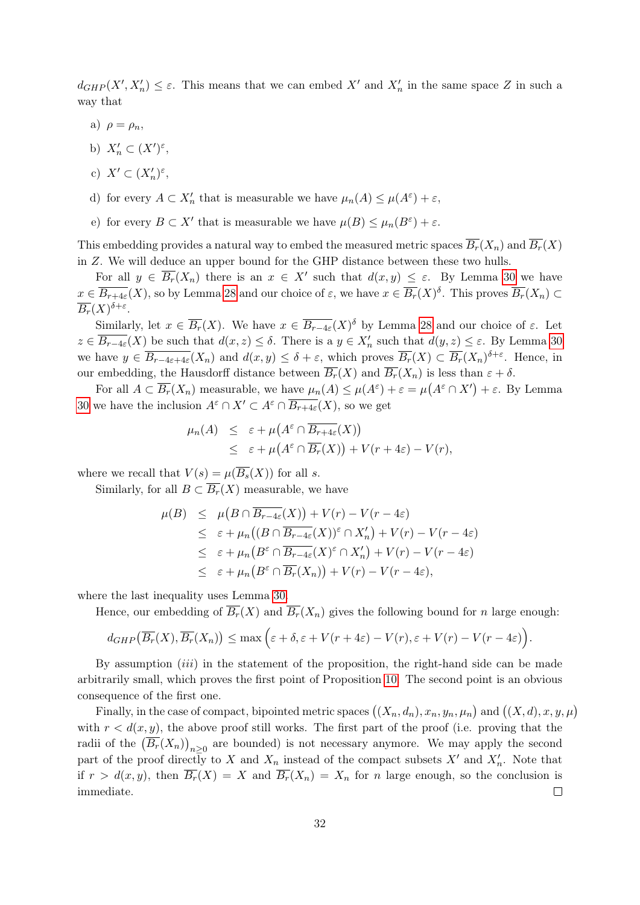$d_{GHP}(X', X'_n) \leq \varepsilon$ . This means that we can embed X' and  $X'_n$  in the same space Z in such a way that

- a)  $\rho = \rho_n$ ,
- b)  $X'_n \subset (X')^{\varepsilon}$ ,
- c)  $X' \subset (X'_n)^{\varepsilon},$
- d) for every  $A \subset X'_n$  that is measurable we have  $\mu_n(A) \leq \mu(A^{\varepsilon}) + \varepsilon$ ,
- e) for every  $B \subset X'$  that is measurable we have  $\mu(B) \leq \mu_n(B^{\varepsilon}) + \varepsilon$ .

This embedding provides a natural way to embed the measured metric spaces  $\overline{B_r}(X_n)$  and  $\overline{B_r}(X)$ in Z. We will deduce an upper bound for the GHP distance between these two hulls.

For all  $y \in \overline{B_r}(X_n)$  there is an  $x \in X'$  such that  $d(x, y) \leq \varepsilon$ . By Lemma [30](#page-29-1) we have  $x \in \overline{B_{r+4\varepsilon}}(X)$ , so by Lemma [28](#page-29-2) and our choice of  $\varepsilon$ , we have  $x \in \overline{B_r}(X)$ <sup> $\delta$ </sup>. This proves  $\overline{B_r}(X_n) \subset$  $\overline{B_r}(X)^{\delta+\varepsilon}.$ 

Similarly, let  $x \in \overline{B_r}(X)$ . We have  $x \in \overline{B_{r-4\varepsilon}}(X)$  by Lemma [28](#page-29-2) and our choice of  $\varepsilon$ . Let  $z \in \overline{B_{r-4\varepsilon}}(X)$  be such that  $d(x, z) \leq \delta$ . There is a  $y \in X_n'$  such that  $d(y, z) \leq \varepsilon$ . By Lemma [30](#page-29-1) we have  $y \in \overline{B_{r-4\varepsilon+4\varepsilon}}(X_n)$  and  $d(x,y) \leq \delta + \varepsilon$ , which proves  $\overline{B_r}(X) \subset \overline{B_r}(X_n)^{\delta+\varepsilon}$ . Hence, in our embedding, the Hausdorff distance between  $\overline{B_r}(X)$  and  $\overline{B_r}(X_n)$  is less than  $\varepsilon + \delta$ .

For all  $A \subset \overline{B_r}(X_n)$  measurable, we have  $\mu_n(A) \leq \mu(A^{\varepsilon}) + \varepsilon = \mu(A^{\varepsilon} \cap X') + \varepsilon$ . By Lemma [30](#page-29-1) we have the inclusion  $A^{\varepsilon} \cap X' \subset A^{\varepsilon} \cap \overline{B_{r+4\varepsilon}}(X)$ , so we get

$$
\mu_n(A) \leq \varepsilon + \mu(A^{\varepsilon} \cap \overline{B_{r+4\varepsilon}}(X))
$$
  
 
$$
\leq \varepsilon + \mu(A^{\varepsilon} \cap \overline{B_r}(X)) + V(r+4\varepsilon) - V(r),
$$

where we recall that  $V(s) = \mu(\overline{B_s}(X))$  for all s.

Similarly, for all  $B \subset \overline{B_r}(X)$  measurable, we have

$$
\mu(B) \leq \mu(B \cap \overline{B_{r-4\varepsilon}}(X)) + V(r) - V(r - 4\varepsilon)
$$
  
\n
$$
\leq \varepsilon + \mu_n((B \cap \overline{B_{r-4\varepsilon}}(X))^{\varepsilon} \cap X'_n) + V(r) - V(r - 4\varepsilon)
$$
  
\n
$$
\leq \varepsilon + \mu_n(B^{\varepsilon} \cap \overline{B_{r-4\varepsilon}}(X)^{\varepsilon} \cap X'_n) + V(r) - V(r - 4\varepsilon)
$$
  
\n
$$
\leq \varepsilon + \mu_n(B^{\varepsilon} \cap \overline{B_r}(X_n)) + V(r) - V(r - 4\varepsilon),
$$

where the last inequality uses Lemma [30.](#page-29-1)

Hence, our embedding of  $\overline{B_r}(X)$  and  $\overline{B_r}(X_n)$  gives the following bound for n large enough:

$$
d_{GHP}(\overline{B_r}(X), \overline{B_r}(X_n)) \le \max\Big(\varepsilon + \delta, \varepsilon + V(r+4\varepsilon) - V(r), \varepsilon + V(r) - V(r-4\varepsilon)\Big).
$$

By assumption  $(iii)$  in the statement of the proposition, the right-hand side can be made arbitrarily small, which proves the first point of Proposition [10.](#page-9-0) The second point is an obvious consequence of the first one.

Finally, in the case of compact, bipointed metric spaces  $((X_n, d_n), x_n, y_n, \mu_n)$  and  $((X, d), x, y, \mu)$ with  $r < d(x, y)$ , the above proof still works. The first part of the proof (i.e. proving that the radii of the  $(\overline{B_r}(X_n))_{n\geq 0}$  are bounded) is not necessary anymore. We may apply the second part of the proof directly to X and  $X_n$  instead of the compact subsets  $X'$  and  $X'_n$ . Note that if  $r > d(x, y)$ , then  $\overline{B_r}(X) = X$  and  $\overline{B_r}(X_n) = X_n$  for n large enough, so the conclusion is immediate.  $\Box$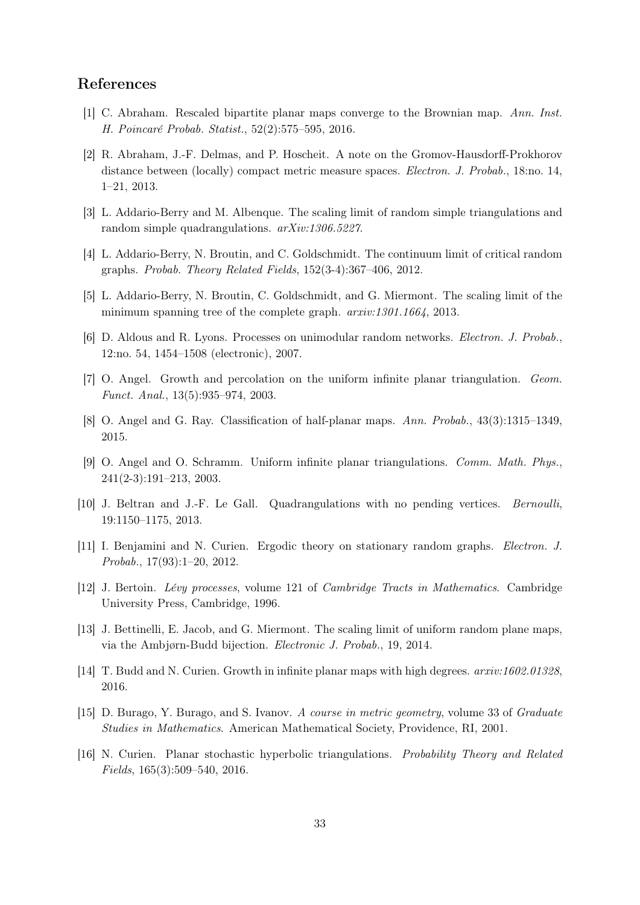### References

- <span id="page-32-1"></span>[1] C. Abraham. Rescaled bipartite planar maps converge to the Brownian map. Ann. Inst. H. Poincaré Probab. Statist., 52(2):575–595, 2016.
- <span id="page-32-12"></span>[2] R. Abraham, J.-F. Delmas, and P. Hoscheit. A note on the Gromov-Hausdorff-Prokhorov distance between (locally) compact metric measure spaces. Electron. J. Probab., 18:no. 14, 1–21, 2013.
- <span id="page-32-2"></span>[3] L. Addario-Berry and M. Albenque. The scaling limit of random simple triangulations and random simple quadrangulations. arXiv:1306.5227.
- <span id="page-32-9"></span>[4] L. Addario-Berry, N. Broutin, and C. Goldschmidt. The continuum limit of critical random graphs. Probab. Theory Related Fields, 152(3-4):367–406, 2012.
- <span id="page-32-10"></span>[5] L. Addario-Berry, N. Broutin, C. Goldschmidt, and G. Miermont. The scaling limit of the minimum spanning tree of the complete graph. arxiv:1301.1664, 2013.
- <span id="page-32-11"></span>[6] D. Aldous and R. Lyons. Processes on unimodular random networks. Electron. J. Probab., 12:no. 54, 1454–1508 (electronic), 2007.
- <span id="page-32-6"></span>[7] O. Angel. Growth and percolation on the uniform infinite planar triangulation. Geom. Funct. Anal., 13(5):935–974, 2003.
- <span id="page-32-8"></span>[8] O. Angel and G. Ray. Classification of half-planar maps. Ann. Probab., 43(3):1315–1349, 2015.
- <span id="page-32-5"></span>[9] O. Angel and O. Schramm. Uniform infinite planar triangulations. Comm. Math. Phys., 241(2-3):191–213, 2003.
- <span id="page-32-3"></span>[10] J. Beltran and J.-F. Le Gall. Quadrangulations with no pending vertices. Bernoulli, 19:1150–1175, 2013.
- <span id="page-32-14"></span>[11] I. Benjamini and N. Curien. Ergodic theory on stationary random graphs. Electron. J. Probab., 17(93):1–20, 2012.
- <span id="page-32-15"></span>[12] J. Bertoin. Lévy processes, volume 121 of Cambridge Tracts in Mathematics. Cambridge University Press, Cambridge, 1996.
- <span id="page-32-4"></span>[13] J. Bettinelli, E. Jacob, and G. Miermont. The scaling limit of uniform random plane maps, via the Ambjørn-Budd bijection. Electronic J. Probab., 19, 2014.
- <span id="page-32-7"></span>[14] T. Budd and N. Curien. Growth in infinite planar maps with high degrees. arxiv:1602.01328, 2016.
- <span id="page-32-13"></span>[15] D. Burago, Y. Burago, and S. Ivanov. A course in metric geometry, volume 33 of Graduate Studies in Mathematics. American Mathematical Society, Providence, RI, 2001.
- <span id="page-32-0"></span>[16] N. Curien. Planar stochastic hyperbolic triangulations. Probability Theory and Related Fields, 165(3):509–540, 2016.